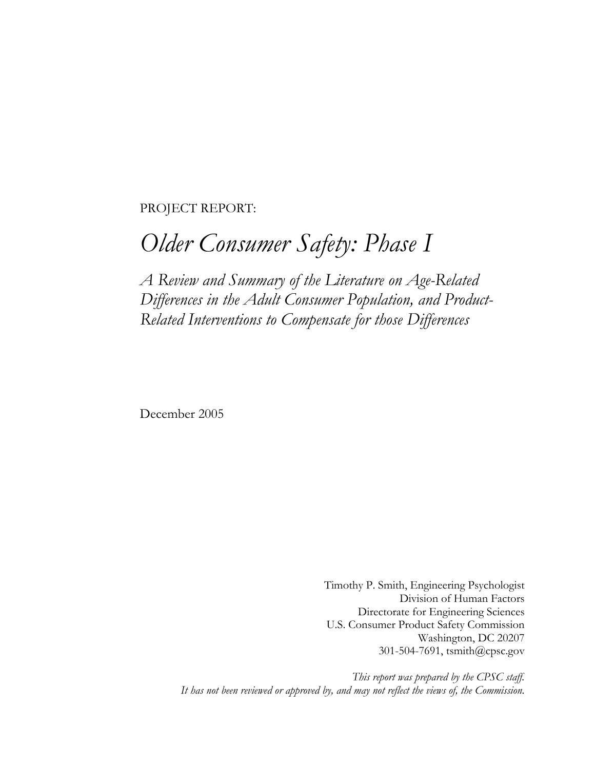PROJECT REPORT:

# *Older Consumer Safety: Phase I*

*A Review and Summary of the Literature on Age-Related Differences in the Adult Consumer Population, and Product-Related Interventions to Compensate for those Differences* 

December 2005

Timothy P. Smith, Engineering Psychologist Division of Human Factors Directorate for Engineering Sciences U.S. Consumer Product Safety Commission Washington, DC 20207 301-504-7691, tsmith@cpsc.gov

*This report was prepared by the CPSC staff. It has not been reviewed or approved by, and may not reflect the views of, the Commission.*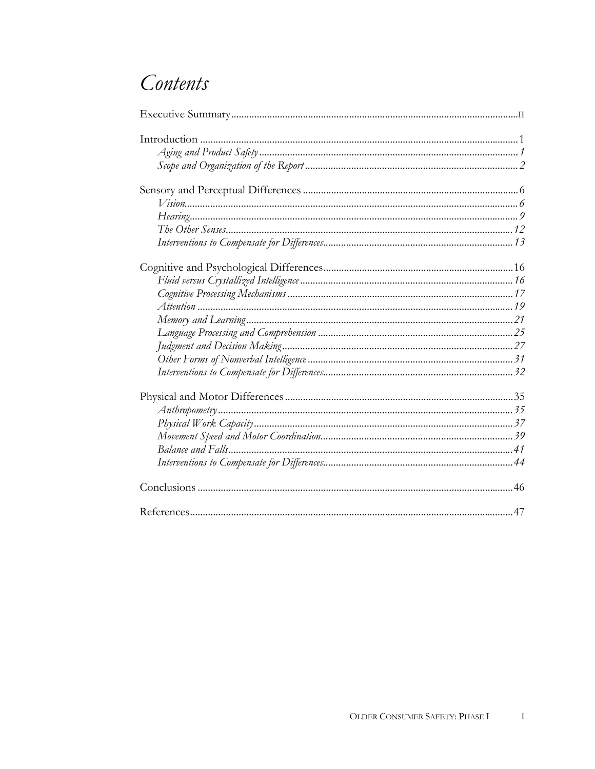## Contents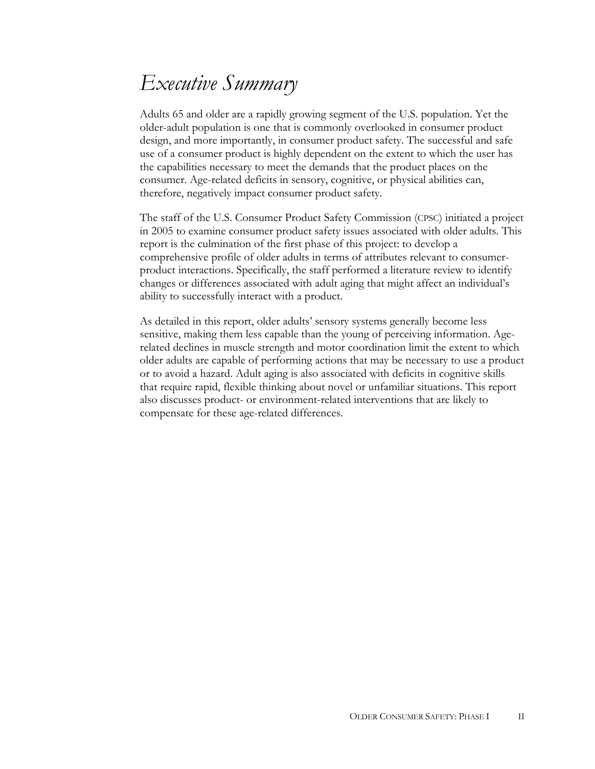# *Executive Summary*

Adults 65 and older are a rapidly growing segment of the U.S. population. Yet the older-adult population is one that is commonly overlooked in consumer product design, and more importantly, in consumer product safety. The successful and safe use of a consumer product is highly dependent on the extent to which the user has the capabilities necessary to meet the demands that the product places on the consumer. Age-related deficits in sensory, cognitive, or physical abilities can, therefore, negatively impact consumer product safety.

The staff of the U.S. Consumer Product Safety Commission (CPSC) initiated a project in 2005 to examine consumer product safety issues associated with older adults. This report is the culmination of the first phase of this project: to develop a comprehensive profile of older adults in terms of attributes relevant to consumerproduct interactions. Specifically, the staff performed a literature review to identify changes or differences associated with adult aging that might affect an individual's ability to successfully interact with a product.

As detailed in this report, older adults' sensory systems generally become less sensitive, making them less capable than the young of perceiving information. Agerelated declines in muscle strength and motor coordination limit the extent to which older adults are capable of performing actions that may be necessary to use a product or to avoid a hazard. Adult aging is also associated with deficits in cognitive skills that require rapid, flexible thinking about novel or unfamiliar situations. This report also discusses product- or environment-related interventions that are likely to compensate for these age-related differences.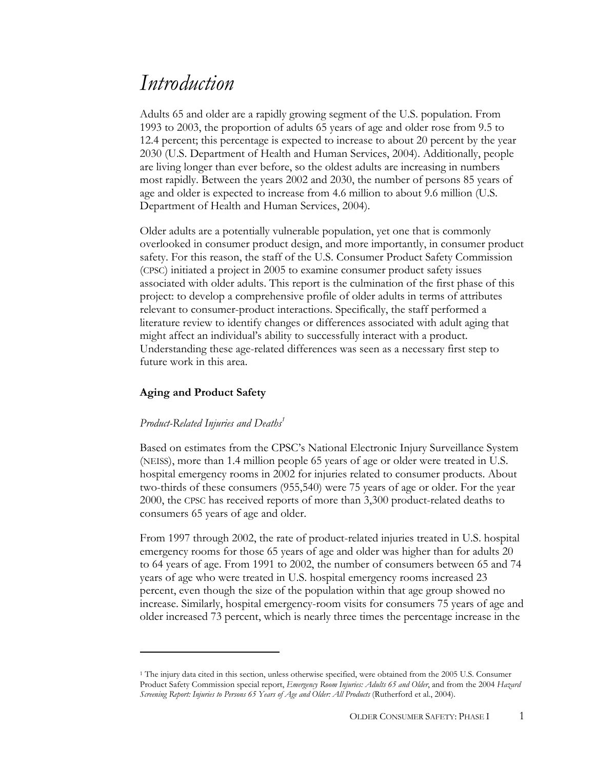## *Introduction*

Adults 65 and older are a rapidly growing segment of the U.S. population. From 1993 to 2003, the proportion of adults 65 years of age and older rose from 9.5 to 12.4 percent; this percentage is expected to increase to about 20 percent by the year 2030 (U.S. Department of Health and Human Services, 2004). Additionally, people are living longer than ever before, so the oldest adults are increasing in numbers most rapidly. Between the years 2002 and 2030, the number of persons 85 years of age and older is expected to increase from 4.6 million to about 9.6 million (U.S. Department of Health and Human Services, 2004).

Older adults are a potentially vulnerable population, yet one that is commonly overlooked in consumer product design, and more importantly, in consumer product safety. For this reason, the staff of the U.S. Consumer Product Safety Commission (CPSC) initiated a project in 2005 to examine consumer product safety issues associated with older adults. This report is the culmination of the first phase of this project: to develop a comprehensive profile of older adults in terms of attributes relevant to consumer-product interactions. Specifically, the staff performed a literature review to identify changes or differences associated with adult aging that might affect an individual's ability to successfully interact with a product. Understanding these age-related differences was seen as a necessary first step to future work in this area.

## **Aging and Product Safety**

 $\overline{a}$ 

## *Product-Related Injuries and Deaths<sup>1</sup>*

Based on estimates from the CPSC's National Electronic Injury Surveillance System (NEISS), more than 1.4 million people 65 years of age or older were treated in U.S. hospital emergency rooms in 2002 for injuries related to consumer products. About two-thirds of these consumers (955,540) were 75 years of age or older. For the year 2000, the CPSC has received reports of more than 3,300 product-related deaths to consumers 65 years of age and older.

From 1997 through 2002, the rate of product-related injuries treated in U.S. hospital emergency rooms for those 65 years of age and older was higher than for adults 20 to 64 years of age. From 1991 to 2002, the number of consumers between 65 and 74 years of age who were treated in U.S. hospital emergency rooms increased 23 percent, even though the size of the population within that age group showed no increase. Similarly, hospital emergency-room visits for consumers 75 years of age and older increased 73 percent, which is nearly three times the percentage increase in the

<sup>1</sup> The injury data cited in this section, unless otherwise specified, were obtained from the 2005 U.S. Consumer Product Safety Commission special report, *Emergency Room Injuries: Adults 65 and Older*, and from the 2004 *Hazard Screening Report: Injuries to Persons 65 Years of Age and Older: All Products* (Rutherford et al., 2004).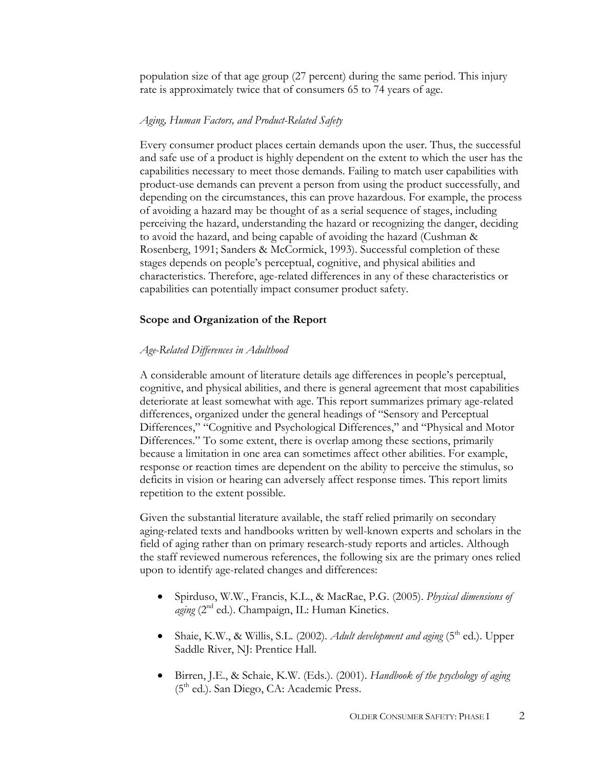population size of that age group (27 percent) during the same period. This injury rate is approximately twice that of consumers 65 to 74 years of age.

#### *Aging, Human Factors, and Product-Related Safety*

Every consumer product places certain demands upon the user. Thus, the successful and safe use of a product is highly dependent on the extent to which the user has the capabilities necessary to meet those demands. Failing to match user capabilities with product-use demands can prevent a person from using the product successfully, and depending on the circumstances, this can prove hazardous. For example, the process of avoiding a hazard may be thought of as a serial sequence of stages, including perceiving the hazard, understanding the hazard or recognizing the danger, deciding to avoid the hazard, and being capable of avoiding the hazard (Cushman & Rosenberg, 1991; Sanders & McCormick, 1993). Successful completion of these stages depends on people's perceptual, cognitive, and physical abilities and characteristics. Therefore, age-related differences in any of these characteristics or capabilities can potentially impact consumer product safety.

#### **Scope and Organization of the Report**

#### *Age-Related Differences in Adulthood*

A considerable amount of literature details age differences in people's perceptual, cognitive, and physical abilities, and there is general agreement that most capabilities deteriorate at least somewhat with age. This report summarizes primary age-related differences, organized under the general headings of "Sensory and Perceptual Differences," "Cognitive and Psychological Differences," and "Physical and Motor Differences." To some extent, there is overlap among these sections, primarily because a limitation in one area can sometimes affect other abilities. For example, response or reaction times are dependent on the ability to perceive the stimulus, so deficits in vision or hearing can adversely affect response times. This report limits repetition to the extent possible.

Given the substantial literature available, the staff relied primarily on secondary aging-related texts and handbooks written by well-known experts and scholars in the field of aging rather than on primary research-study reports and articles. Although the staff reviewed numerous references, the following six are the primary ones relied upon to identify age-related changes and differences:

- Spirduso, W.W., Francis, K.L., & MacRae, P.G. (2005). *Physical dimensions of aging* (2<sup>nd</sup> ed.). Champaign, IL: Human Kinetics.
- Shaie, K.W., & Willis, S.L. (2002). *Adult development and aging* (5<sup>th</sup> ed.). Upper Saddle River, NJ: Prentice Hall.
- Birren, J.E., & Schaie, K.W. (Eds.). (2001). *Handbook of the psychology of aging* (5<sup>th</sup> ed.). San Diego, CA: Academic Press.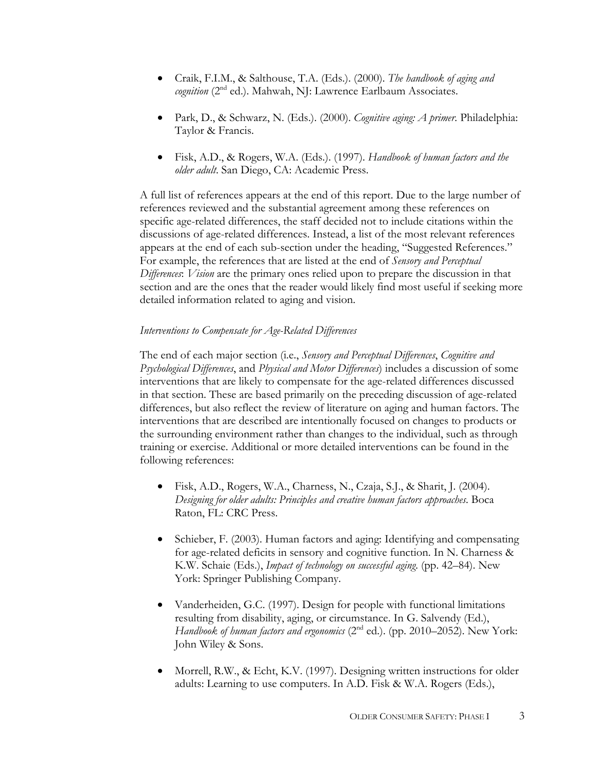- Craik, F.I.M., & Salthouse, T.A. (Eds.). (2000). *The handbook of aging and*  cognition (2<sup>nd</sup> ed.). Mahwah, NJ: Lawrence Earlbaum Associates.
- Park, D., & Schwarz, N. (Eds.). (2000). *Cognitive aging: A primer*. Philadelphia: Taylor & Francis.
- Fisk, A.D., & Rogers, W.A. (Eds.). (1997). *Handbook of human factors and the older adult*. San Diego, CA: Academic Press.

A full list of references appears at the end of this report. Due to the large number of references reviewed and the substantial agreement among these references on specific age-related differences, the staff decided not to include citations within the discussions of age-related differences. Instead, a list of the most relevant references appears at the end of each sub-section under the heading, "Suggested References." For example, the references that are listed at the end of *Sensory and Perceptual Differences*: *Vision* are the primary ones relied upon to prepare the discussion in that section and are the ones that the reader would likely find most useful if seeking more detailed information related to aging and vision.

## *Interventions to Compensate for Age-Related Differences*

The end of each major section (i.e., *Sensory and Perceptual Differences*, *Cognitive and Psychological Differences*, and *Physical and Motor Differences*) includes a discussion of some interventions that are likely to compensate for the age-related differences discussed in that section. These are based primarily on the preceding discussion of age-related differences, but also reflect the review of literature on aging and human factors. The interventions that are described are intentionally focused on changes to products or the surrounding environment rather than changes to the individual, such as through training or exercise. Additional or more detailed interventions can be found in the following references:

- Fisk, A.D., Rogers, W.A., Charness, N., Czaja, S.J., & Sharit, J. (2004). *Designing for older adults: Principles and creative human factors approaches*. Boca Raton, FL: CRC Press.
- Schieber, F. (2003). Human factors and aging: Identifying and compensating for age-related deficits in sensory and cognitive function. In N. Charness & K.W. Schaie (Eds.), *Impact of technology on successful aging*. (pp. 42–84). New York: Springer Publishing Company.
- Vanderheiden, G.C. (1997). Design for people with functional limitations resulting from disability, aging, or circumstance. In G. Salvendy (Ed.), *Handbook of human factors and ergonomics* (2<sup>nd</sup> ed.). (pp. 2010–2052). New York: John Wiley & Sons.
- Morrell, R.W., & Echt, K.V. (1997). Designing written instructions for older adults: Learning to use computers. In A.D. Fisk & W.A. Rogers (Eds.),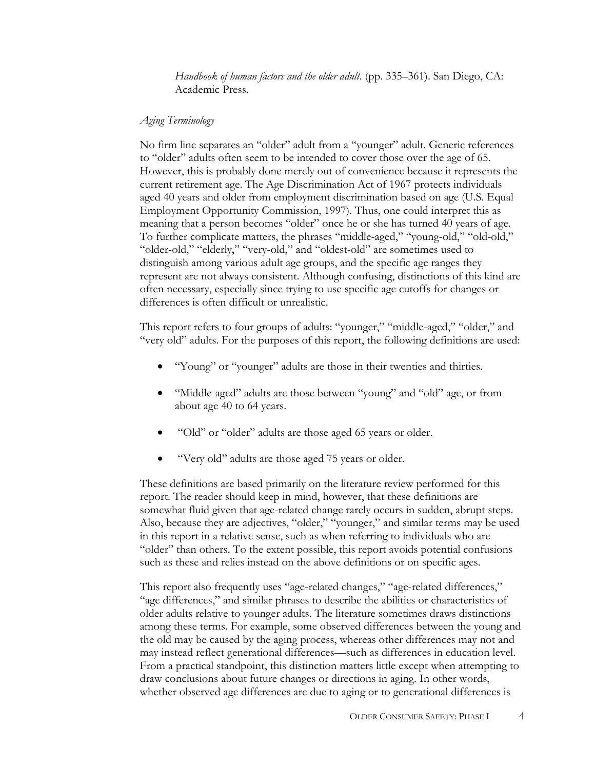*Handbook of human factors and the older adult*. (pp. 335–361). San Diego, CA: Academic Press.

### *Aging Terminology*

No firm line separates an "older" adult from a "younger" adult. Generic references to "older" adults often seem to be intended to cover those over the age of 65. However, this is probably done merely out of convenience because it represents the current retirement age. The Age Discrimination Act of 1967 protects individuals aged 40 years and older from employment discrimination based on age (U.S. Equal Employment Opportunity Commission, 1997). Thus, one could interpret this as meaning that a person becomes "older" once he or she has turned 40 years of age. To further complicate matters, the phrases "middle-aged," "young-old," "old-old," "older-old," "elderly," "very-old," and "oldest-old" are sometimes used to distinguish among various adult age groups, and the specific age ranges they represent are not always consistent. Although confusing, distinctions of this kind are often necessary, especially since trying to use specific age cutoffs for changes or differences is often difficult or unrealistic.

This report refers to four groups of adults: "younger," "middle-aged," "older," and "very old" adults. For the purposes of this report, the following definitions are used:

- "Young" or "younger" adults are those in their twenties and thirties.
- "Middle-aged" adults are those between "young" and "old" age, or from about age 40 to 64 years.
- "Old" or "older" adults are those aged 65 years or older.
- "Very old" adults are those aged 75 years or older.

These definitions are based primarily on the literature review performed for this report. The reader should keep in mind, however, that these definitions are somewhat fluid given that age-related change rarely occurs in sudden, abrupt steps. Also, because they are adjectives, "older," "younger," and similar terms may be used in this report in a relative sense, such as when referring to individuals who are "older" than others. To the extent possible, this report avoids potential confusions such as these and relies instead on the above definitions or on specific ages.

This report also frequently uses "age-related changes," "age-related differences," "age differences," and similar phrases to describe the abilities or characteristics of older adults relative to younger adults. The literature sometimes draws distinctions among these terms. For example, some observed differences between the young and the old may be caused by the aging process, whereas other differences may not and may instead reflect generational differences—such as differences in education level. From a practical standpoint, this distinction matters little except when attempting to draw conclusions about future changes or directions in aging. In other words, whether observed age differences are due to aging or to generational differences is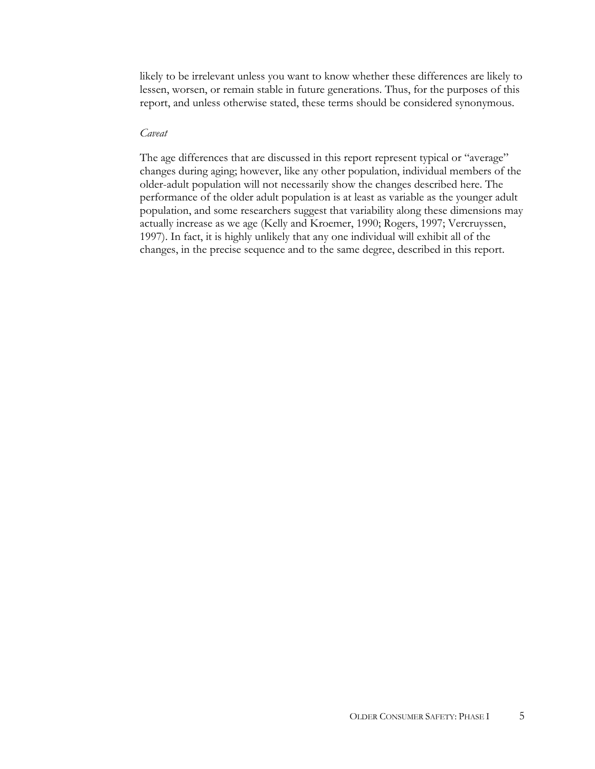likely to be irrelevant unless you want to know whether these differences are likely to lessen, worsen, or remain stable in future generations. Thus, for the purposes of this report, and unless otherwise stated, these terms should be considered synonymous.

### *Caveat*

The age differences that are discussed in this report represent typical or "average" changes during aging; however, like any other population, individual members of the older-adult population will not necessarily show the changes described here. The performance of the older adult population is at least as variable as the younger adult population, and some researchers suggest that variability along these dimensions may actually increase as we age (Kelly and Kroemer, 1990; Rogers, 1997; Vercruyssen, 1997). In fact, it is highly unlikely that any one individual will exhibit all of the changes, in the precise sequence and to the same degree, described in this report.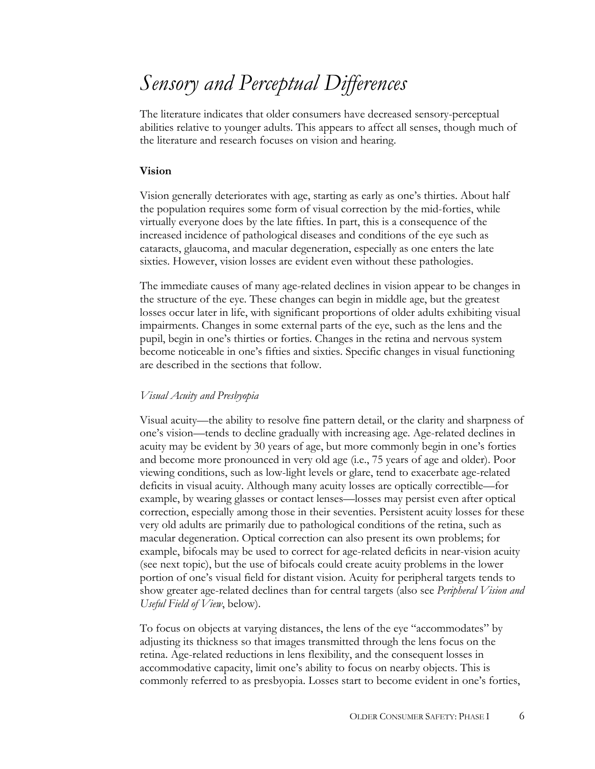# *Sensory and Perceptual Differences*

The literature indicates that older consumers have decreased sensory-perceptual abilities relative to younger adults. This appears to affect all senses, though much of the literature and research focuses on vision and hearing.

#### **Vision**

Vision generally deteriorates with age, starting as early as one's thirties. About half the population requires some form of visual correction by the mid-forties, while virtually everyone does by the late fifties. In part, this is a consequence of the increased incidence of pathological diseases and conditions of the eye such as cataracts, glaucoma, and macular degeneration, especially as one enters the late sixties. However, vision losses are evident even without these pathologies.

The immediate causes of many age-related declines in vision appear to be changes in the structure of the eye. These changes can begin in middle age, but the greatest losses occur later in life, with significant proportions of older adults exhibiting visual impairments. Changes in some external parts of the eye, such as the lens and the pupil, begin in one's thirties or forties. Changes in the retina and nervous system become noticeable in one's fifties and sixties. Specific changes in visual functioning are described in the sections that follow.

## *Visual Acuity and Presbyopia*

Visual acuity—the ability to resolve fine pattern detail, or the clarity and sharpness of one's vision—tends to decline gradually with increasing age. Age-related declines in acuity may be evident by 30 years of age, but more commonly begin in one's forties and become more pronounced in very old age (i.e., 75 years of age and older). Poor viewing conditions, such as low-light levels or glare, tend to exacerbate age-related deficits in visual acuity. Although many acuity losses are optically correctible—for example, by wearing glasses or contact lenses—losses may persist even after optical correction, especially among those in their seventies. Persistent acuity losses for these very old adults are primarily due to pathological conditions of the retina, such as macular degeneration. Optical correction can also present its own problems; for example, bifocals may be used to correct for age-related deficits in near-vision acuity (see next topic), but the use of bifocals could create acuity problems in the lower portion of one's visual field for distant vision. Acuity for peripheral targets tends to show greater age-related declines than for central targets (also see *Peripheral Vision and Useful Field of View*, below).

To focus on objects at varying distances, the lens of the eye "accommodates" by adjusting its thickness so that images transmitted through the lens focus on the retina. Age-related reductions in lens flexibility, and the consequent losses in accommodative capacity, limit one's ability to focus on nearby objects. This is commonly referred to as presbyopia. Losses start to become evident in one's forties,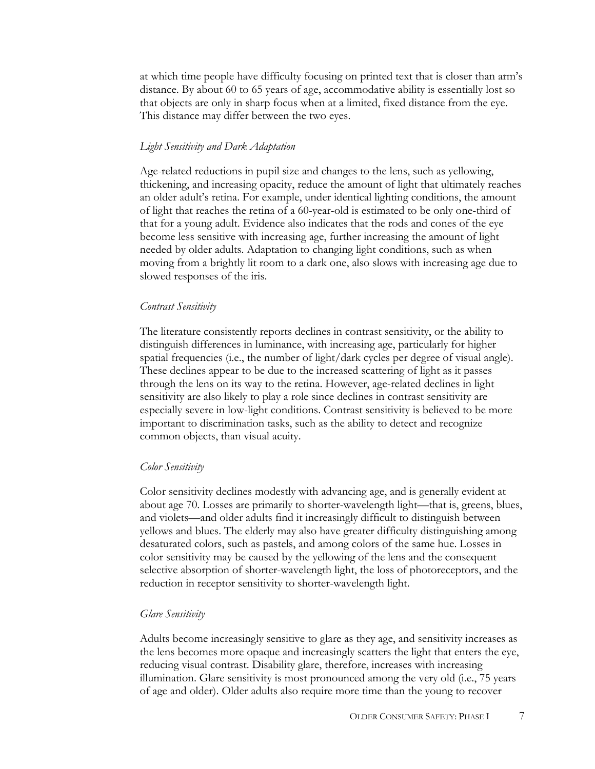at which time people have difficulty focusing on printed text that is closer than arm's distance. By about 60 to 65 years of age, accommodative ability is essentially lost so that objects are only in sharp focus when at a limited, fixed distance from the eye. This distance may differ between the two eyes.

#### *Light Sensitivity and Dark Adaptation*

Age-related reductions in pupil size and changes to the lens, such as yellowing, thickening, and increasing opacity, reduce the amount of light that ultimately reaches an older adult's retina. For example, under identical lighting conditions, the amount of light that reaches the retina of a 60-year-old is estimated to be only one-third of that for a young adult. Evidence also indicates that the rods and cones of the eye become less sensitive with increasing age, further increasing the amount of light needed by older adults. Adaptation to changing light conditions, such as when moving from a brightly lit room to a dark one, also slows with increasing age due to slowed responses of the iris.

#### *Contrast Sensitivity*

The literature consistently reports declines in contrast sensitivity, or the ability to distinguish differences in luminance, with increasing age, particularly for higher spatial frequencies (i.e., the number of light/dark cycles per degree of visual angle). These declines appear to be due to the increased scattering of light as it passes through the lens on its way to the retina. However, age-related declines in light sensitivity are also likely to play a role since declines in contrast sensitivity are especially severe in low-light conditions. Contrast sensitivity is believed to be more important to discrimination tasks, such as the ability to detect and recognize common objects, than visual acuity.

#### *Color Sensitivity*

Color sensitivity declines modestly with advancing age, and is generally evident at about age 70. Losses are primarily to shorter-wavelength light—that is, greens, blues, and violets—and older adults find it increasingly difficult to distinguish between yellows and blues. The elderly may also have greater difficulty distinguishing among desaturated colors, such as pastels, and among colors of the same hue. Losses in color sensitivity may be caused by the yellowing of the lens and the consequent selective absorption of shorter-wavelength light, the loss of photoreceptors, and the reduction in receptor sensitivity to shorter-wavelength light.

#### *Glare Sensitivity*

Adults become increasingly sensitive to glare as they age, and sensitivity increases as the lens becomes more opaque and increasingly scatters the light that enters the eye, reducing visual contrast. Disability glare, therefore, increases with increasing illumination. Glare sensitivity is most pronounced among the very old (i.e., 75 years of age and older). Older adults also require more time than the young to recover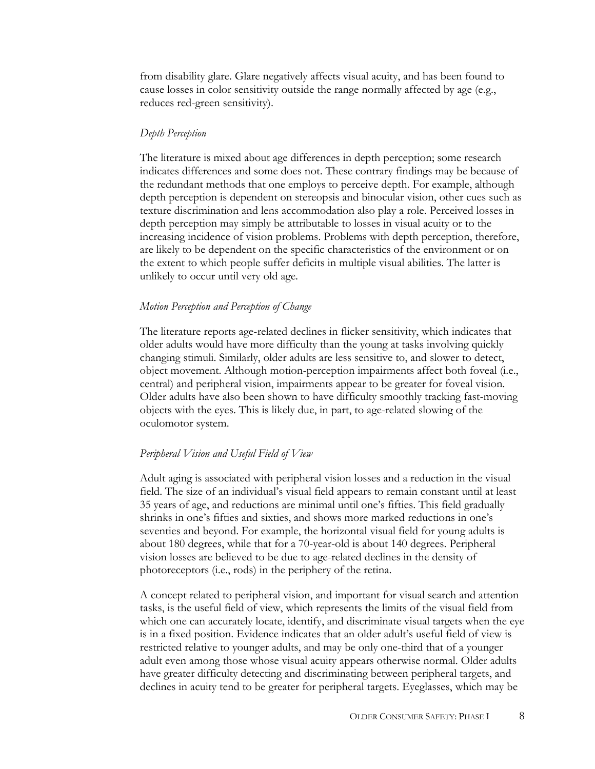from disability glare. Glare negatively affects visual acuity, and has been found to cause losses in color sensitivity outside the range normally affected by age (e.g., reduces red-green sensitivity).

#### *Depth Perception*

The literature is mixed about age differences in depth perception; some research indicates differences and some does not. These contrary findings may be because of the redundant methods that one employs to perceive depth. For example, although depth perception is dependent on stereopsis and binocular vision, other cues such as texture discrimination and lens accommodation also play a role. Perceived losses in depth perception may simply be attributable to losses in visual acuity or to the increasing incidence of vision problems. Problems with depth perception, therefore, are likely to be dependent on the specific characteristics of the environment or on the extent to which people suffer deficits in multiple visual abilities. The latter is unlikely to occur until very old age.

#### *Motion Perception and Perception of Change*

The literature reports age-related declines in flicker sensitivity, which indicates that older adults would have more difficulty than the young at tasks involving quickly changing stimuli. Similarly, older adults are less sensitive to, and slower to detect, object movement. Although motion-perception impairments affect both foveal (i.e., central) and peripheral vision, impairments appear to be greater for foveal vision. Older adults have also been shown to have difficulty smoothly tracking fast-moving objects with the eyes. This is likely due, in part, to age-related slowing of the oculomotor system.

#### *Peripheral Vision and Useful Field of View*

Adult aging is associated with peripheral vision losses and a reduction in the visual field. The size of an individual's visual field appears to remain constant until at least 35 years of age, and reductions are minimal until one's fifties. This field gradually shrinks in one's fifties and sixties, and shows more marked reductions in one's seventies and beyond. For example, the horizontal visual field for young adults is about 180 degrees, while that for a 70-year-old is about 140 degrees. Peripheral vision losses are believed to be due to age-related declines in the density of photoreceptors (i.e., rods) in the periphery of the retina.

A concept related to peripheral vision, and important for visual search and attention tasks, is the useful field of view, which represents the limits of the visual field from which one can accurately locate, identify, and discriminate visual targets when the eye is in a fixed position. Evidence indicates that an older adult's useful field of view is restricted relative to younger adults, and may be only one-third that of a younger adult even among those whose visual acuity appears otherwise normal. Older adults have greater difficulty detecting and discriminating between peripheral targets, and declines in acuity tend to be greater for peripheral targets. Eyeglasses, which may be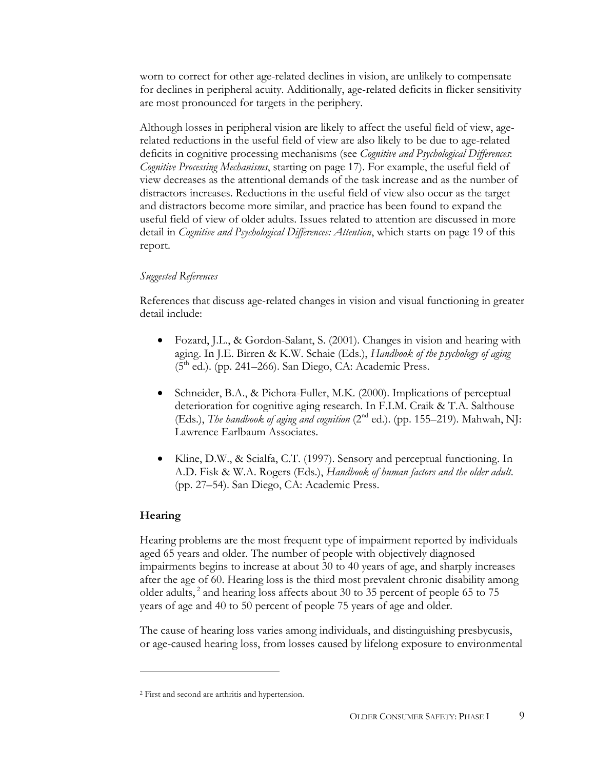worn to correct for other age-related declines in vision, are unlikely to compensate for declines in peripheral acuity. Additionally, age-related deficits in flicker sensitivity are most pronounced for targets in the periphery.

Although losses in peripheral vision are likely to affect the useful field of view, agerelated reductions in the useful field of view are also likely to be due to age-related deficits in cognitive processing mechanisms (see *Cognitive and Psychological Differences*: *Cognitive Processing Mechanisms*, starting on page 17). For example, the useful field of view decreases as the attentional demands of the task increase and as the number of distractors increases. Reductions in the useful field of view also occur as the target and distractors become more similar, and practice has been found to expand the useful field of view of older adults. Issues related to attention are discussed in more detail in *Cognitive and Psychological Differences: Attention*, which starts on page 19 of this report.

#### *Suggested References*

References that discuss age-related changes in vision and visual functioning in greater detail include:

- Fozard, J.L., & Gordon-Salant, S. (2001). Changes in vision and hearing with aging. In J.E. Birren & K.W. Schaie (Eds.), *Handbook of the psychology of aging*  $(5<sup>th</sup>$  ed.). (pp. 241–266). San Diego, CA: Academic Press.
- Schneider, B.A., & Pichora-Fuller, M.K. (2000). Implications of perceptual deterioration for cognitive aging research. In F.I.M. Craik & T.A. Salthouse (Eds.), *The handbook of aging and cognition*  $(2^{nd}$  ed.). (pp. 155–219). Mahwah, NJ: Lawrence Earlbaum Associates.
- Kline, D.W., & Scialfa, C.T. (1997). Sensory and perceptual functioning. In A.D. Fisk & W.A. Rogers (Eds.), *Handbook of human factors and the older adult*. (pp. 27–54). San Diego, CA: Academic Press.

## **Hearing**

 $\overline{a}$ 

Hearing problems are the most frequent type of impairment reported by individuals aged 65 years and older. The number of people with objectively diagnosed impairments begins to increase at about 30 to 40 years of age, and sharply increases after the age of 60. Hearing loss is the third most prevalent chronic disability among older adults,<sup>2</sup> and hearing loss affects about 30 to 35 percent of people 65 to 75 years of age and 40 to 50 percent of people 75 years of age and older.

The cause of hearing loss varies among individuals, and distinguishing presbycusis, or age-caused hearing loss, from losses caused by lifelong exposure to environmental

<sup>2</sup> First and second are arthritis and hypertension.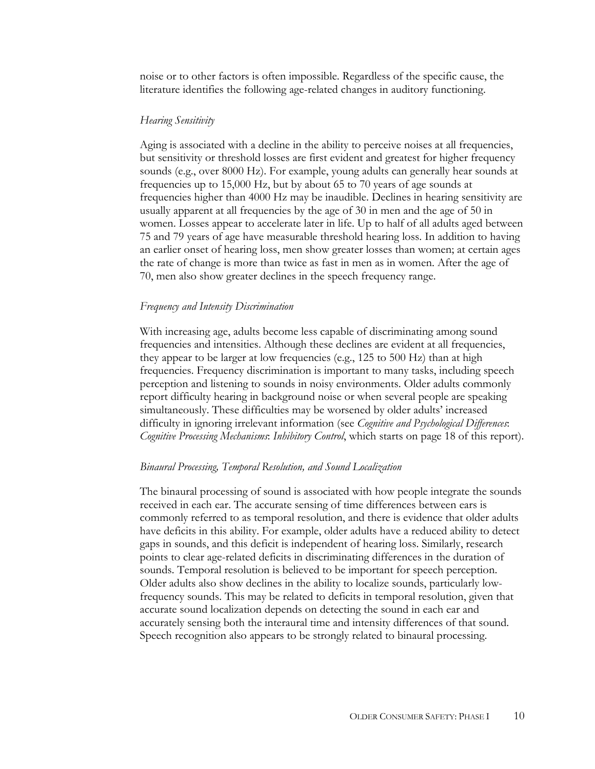noise or to other factors is often impossible. Regardless of the specific cause, the literature identifies the following age-related changes in auditory functioning.

#### *Hearing Sensitivity*

Aging is associated with a decline in the ability to perceive noises at all frequencies, but sensitivity or threshold losses are first evident and greatest for higher frequency sounds (e.g., over 8000 Hz). For example, young adults can generally hear sounds at frequencies up to 15,000 Hz, but by about 65 to 70 years of age sounds at frequencies higher than 4000 Hz may be inaudible. Declines in hearing sensitivity are usually apparent at all frequencies by the age of 30 in men and the age of 50 in women. Losses appear to accelerate later in life. Up to half of all adults aged between 75 and 79 years of age have measurable threshold hearing loss. In addition to having an earlier onset of hearing loss, men show greater losses than women; at certain ages the rate of change is more than twice as fast in men as in women. After the age of 70, men also show greater declines in the speech frequency range.

#### *Frequency and Intensity Discrimination*

With increasing age, adults become less capable of discriminating among sound frequencies and intensities. Although these declines are evident at all frequencies, they appear to be larger at low frequencies (e.g., 125 to 500 Hz) than at high frequencies. Frequency discrimination is important to many tasks, including speech perception and listening to sounds in noisy environments. Older adults commonly report difficulty hearing in background noise or when several people are speaking simultaneously. These difficulties may be worsened by older adults' increased difficulty in ignoring irrelevant information (see *Cognitive and Psychological Differences*: *Cognitive Processing Mechanisms*: *Inhibitory Control*, which starts on page 18 of this report).

#### *Binaural Processing, Temporal Resolution, and Sound Localization*

The binaural processing of sound is associated with how people integrate the sounds received in each ear. The accurate sensing of time differences between ears is commonly referred to as temporal resolution, and there is evidence that older adults have deficits in this ability. For example, older adults have a reduced ability to detect gaps in sounds, and this deficit is independent of hearing loss. Similarly, research points to clear age-related deficits in discriminating differences in the duration of sounds. Temporal resolution is believed to be important for speech perception. Older adults also show declines in the ability to localize sounds, particularly lowfrequency sounds. This may be related to deficits in temporal resolution, given that accurate sound localization depends on detecting the sound in each ear and accurately sensing both the interaural time and intensity differences of that sound. Speech recognition also appears to be strongly related to binaural processing.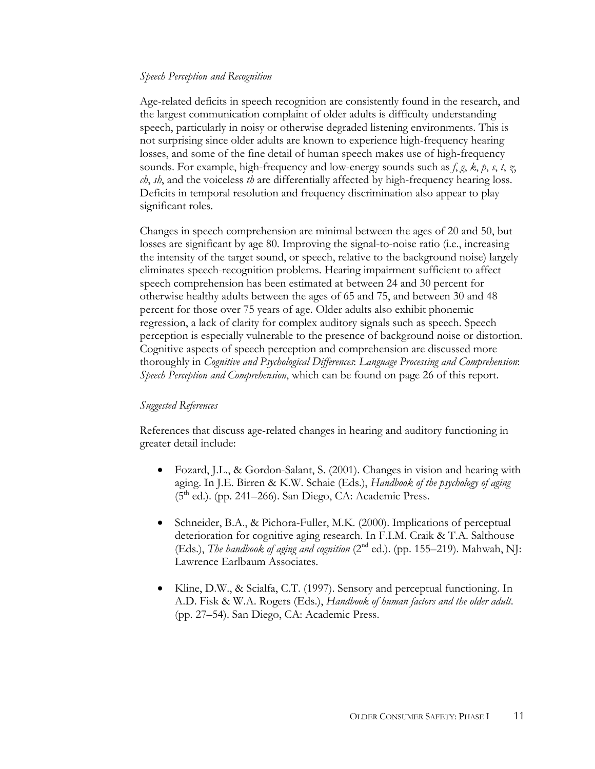### *Speech Perception and Recognition*

Age-related deficits in speech recognition are consistently found in the research, and the largest communication complaint of older adults is difficulty understanding speech, particularly in noisy or otherwise degraded listening environments. This is not surprising since older adults are known to experience high-frequency hearing losses, and some of the fine detail of human speech makes use of high-frequency sounds. For example, high-frequency and low-energy sounds such as *f*, *g*, *k*, *p*, *s*, *t*, *z*, *ch*, *sh*, and the voiceless *th* are differentially affected by high-frequency hearing loss. Deficits in temporal resolution and frequency discrimination also appear to play significant roles.

Changes in speech comprehension are minimal between the ages of 20 and 50, but losses are significant by age 80. Improving the signal-to-noise ratio (i.e., increasing the intensity of the target sound, or speech, relative to the background noise) largely eliminates speech-recognition problems. Hearing impairment sufficient to affect speech comprehension has been estimated at between 24 and 30 percent for otherwise healthy adults between the ages of 65 and 75, and between 30 and 48 percent for those over 75 years of age. Older adults also exhibit phonemic regression, a lack of clarity for complex auditory signals such as speech. Speech perception is especially vulnerable to the presence of background noise or distortion. Cognitive aspects of speech perception and comprehension are discussed more thoroughly in *Cognitive and Psychological Differences*: *Language Processing and Comprehension*: *Speech Perception and Comprehension*, which can be found on page 26 of this report.

#### *Suggested References*

References that discuss age-related changes in hearing and auditory functioning in greater detail include:

- Fozard, J.L., & Gordon-Salant, S. (2001). Changes in vision and hearing with aging. In J.E. Birren & K.W. Schaie (Eds.), *Handbook of the psychology of aging*  $(5<sup>th</sup>$  ed.). (pp. 241–266). San Diego, CA: Academic Press.
- Schneider, B.A., & Pichora-Fuller, M.K. (2000). Implications of perceptual deterioration for cognitive aging research. In F.I.M. Craik & T.A. Salthouse (Eds.), *The handbook of aging and cognition* (2<sup>nd</sup> ed.). (pp. 155–219). Mahwah, NJ: Lawrence Earlbaum Associates.
- Kline, D.W., & Scialfa, C.T. (1997). Sensory and perceptual functioning. In A.D. Fisk & W.A. Rogers (Eds.), *Handbook of human factors and the older adult*. (pp. 27–54). San Diego, CA: Academic Press.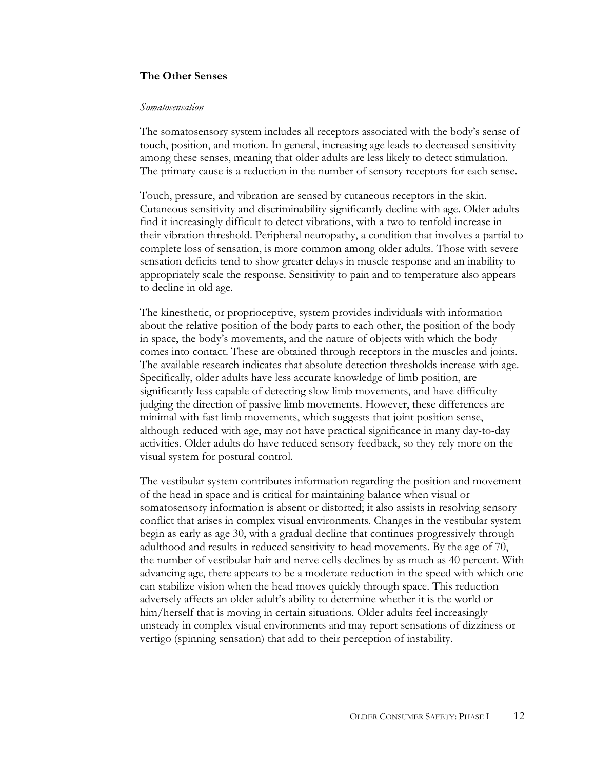#### **The Other Senses**

#### *Somatosensation*

The somatosensory system includes all receptors associated with the body's sense of touch, position, and motion. In general, increasing age leads to decreased sensitivity among these senses, meaning that older adults are less likely to detect stimulation. The primary cause is a reduction in the number of sensory receptors for each sense.

Touch, pressure, and vibration are sensed by cutaneous receptors in the skin. Cutaneous sensitivity and discriminability significantly decline with age. Older adults find it increasingly difficult to detect vibrations, with a two to tenfold increase in their vibration threshold. Peripheral neuropathy, a condition that involves a partial to complete loss of sensation, is more common among older adults. Those with severe sensation deficits tend to show greater delays in muscle response and an inability to appropriately scale the response. Sensitivity to pain and to temperature also appears to decline in old age.

The kinesthetic, or proprioceptive, system provides individuals with information about the relative position of the body parts to each other, the position of the body in space, the body's movements, and the nature of objects with which the body comes into contact. These are obtained through receptors in the muscles and joints. The available research indicates that absolute detection thresholds increase with age. Specifically, older adults have less accurate knowledge of limb position, are significantly less capable of detecting slow limb movements, and have difficulty judging the direction of passive limb movements. However, these differences are minimal with fast limb movements, which suggests that joint position sense, although reduced with age, may not have practical significance in many day-to-day activities. Older adults do have reduced sensory feedback, so they rely more on the visual system for postural control.

The vestibular system contributes information regarding the position and movement of the head in space and is critical for maintaining balance when visual or somatosensory information is absent or distorted; it also assists in resolving sensory conflict that arises in complex visual environments. Changes in the vestibular system begin as early as age 30, with a gradual decline that continues progressively through adulthood and results in reduced sensitivity to head movements. By the age of 70, the number of vestibular hair and nerve cells declines by as much as 40 percent. With advancing age, there appears to be a moderate reduction in the speed with which one can stabilize vision when the head moves quickly through space. This reduction adversely affects an older adult's ability to determine whether it is the world or him/herself that is moving in certain situations. Older adults feel increasingly unsteady in complex visual environments and may report sensations of dizziness or vertigo (spinning sensation) that add to their perception of instability.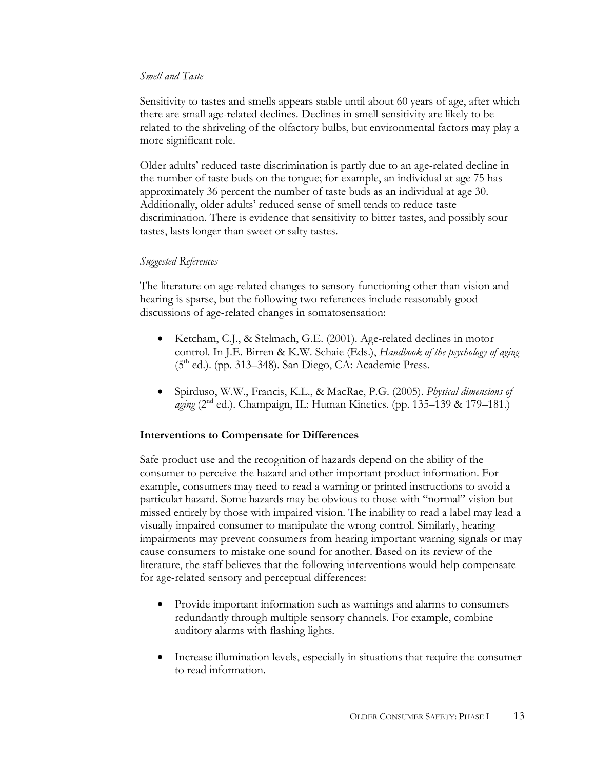## *Smell and Taste*

Sensitivity to tastes and smells appears stable until about 60 years of age, after which there are small age-related declines. Declines in smell sensitivity are likely to be related to the shriveling of the olfactory bulbs, but environmental factors may play a more significant role.

Older adults' reduced taste discrimination is partly due to an age-related decline in the number of taste buds on the tongue; for example, an individual at age 75 has approximately 36 percent the number of taste buds as an individual at age 30. Additionally, older adults' reduced sense of smell tends to reduce taste discrimination. There is evidence that sensitivity to bitter tastes, and possibly sour tastes, lasts longer than sweet or salty tastes.

## *Suggested References*

The literature on age-related changes to sensory functioning other than vision and hearing is sparse, but the following two references include reasonably good discussions of age-related changes in somatosensation:

- Ketcham, C.J., & Stelmach, G.E. (2001). Age-related declines in motor control. In J.E. Birren & K.W. Schaie (Eds.), *Handbook of the psychology of aging*  $(5<sup>th</sup>$  ed.). (pp. 313–348). San Diego, CA: Academic Press.
- Spirduso, W.W., Francis, K.L., & MacRae, P.G. (2005). *Physical dimensions of aging* (2<sup>nd</sup> ed.). Champaign, IL: Human Kinetics. (pp. 135–139 & 179–181.)

## **Interventions to Compensate for Differences**

Safe product use and the recognition of hazards depend on the ability of the consumer to perceive the hazard and other important product information. For example, consumers may need to read a warning or printed instructions to avoid a particular hazard. Some hazards may be obvious to those with "normal" vision but missed entirely by those with impaired vision. The inability to read a label may lead a visually impaired consumer to manipulate the wrong control. Similarly, hearing impairments may prevent consumers from hearing important warning signals or may cause consumers to mistake one sound for another. Based on its review of the literature, the staff believes that the following interventions would help compensate for age-related sensory and perceptual differences:

- Provide important information such as warnings and alarms to consumers redundantly through multiple sensory channels. For example, combine auditory alarms with flashing lights.
- Increase illumination levels, especially in situations that require the consumer to read information.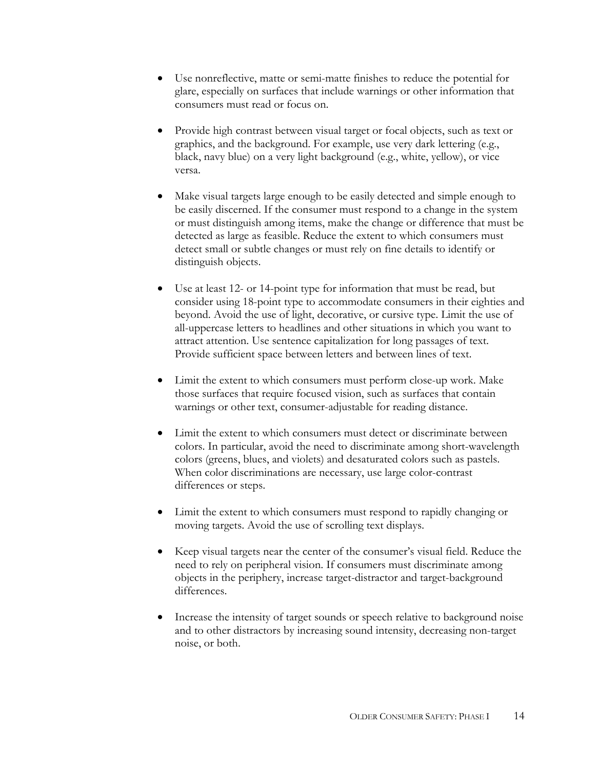- Use nonreflective, matte or semi-matte finishes to reduce the potential for glare, especially on surfaces that include warnings or other information that consumers must read or focus on.
- Provide high contrast between visual target or focal objects, such as text or graphics, and the background. For example, use very dark lettering (e.g., black, navy blue) on a very light background (e.g., white, yellow), or vice versa.
- Make visual targets large enough to be easily detected and simple enough to be easily discerned. If the consumer must respond to a change in the system or must distinguish among items, make the change or difference that must be detected as large as feasible. Reduce the extent to which consumers must detect small or subtle changes or must rely on fine details to identify or distinguish objects.
- Use at least 12- or 14-point type for information that must be read, but consider using 18-point type to accommodate consumers in their eighties and beyond. Avoid the use of light, decorative, or cursive type. Limit the use of all-uppercase letters to headlines and other situations in which you want to attract attention. Use sentence capitalization for long passages of text. Provide sufficient space between letters and between lines of text.
- Limit the extent to which consumers must perform close-up work. Make those surfaces that require focused vision, such as surfaces that contain warnings or other text, consumer-adjustable for reading distance.
- Limit the extent to which consumers must detect or discriminate between colors. In particular, avoid the need to discriminate among short-wavelength colors (greens, blues, and violets) and desaturated colors such as pastels. When color discriminations are necessary, use large color-contrast differences or steps.
- Limit the extent to which consumers must respond to rapidly changing or moving targets. Avoid the use of scrolling text displays.
- Keep visual targets near the center of the consumer's visual field. Reduce the need to rely on peripheral vision. If consumers must discriminate among objects in the periphery, increase target-distractor and target-background differences.
- Increase the intensity of target sounds or speech relative to background noise and to other distractors by increasing sound intensity, decreasing non-target noise, or both.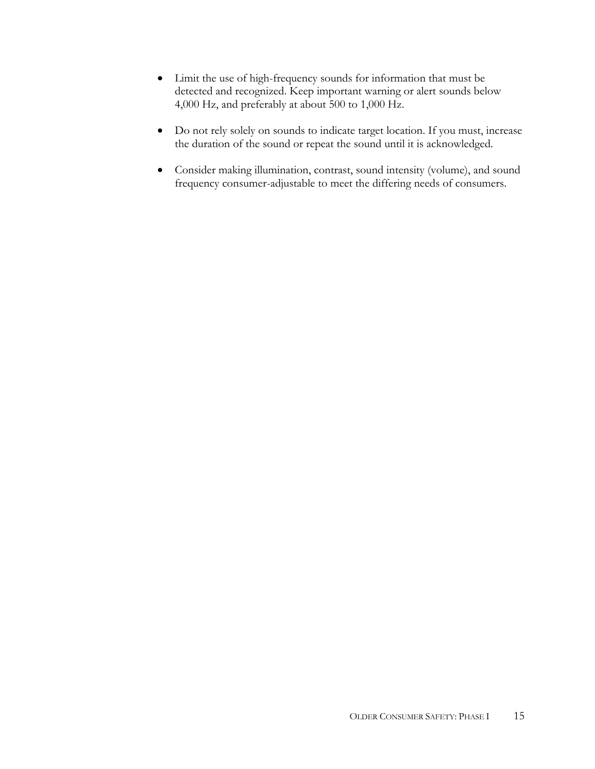- Limit the use of high-frequency sounds for information that must be detected and recognized. Keep important warning or alert sounds below 4,000 Hz, and preferably at about 500 to 1,000 Hz.
- Do not rely solely on sounds to indicate target location. If you must, increase the duration of the sound or repeat the sound until it is acknowledged.
- Consider making illumination, contrast, sound intensity (volume), and sound frequency consumer-adjustable to meet the differing needs of consumers.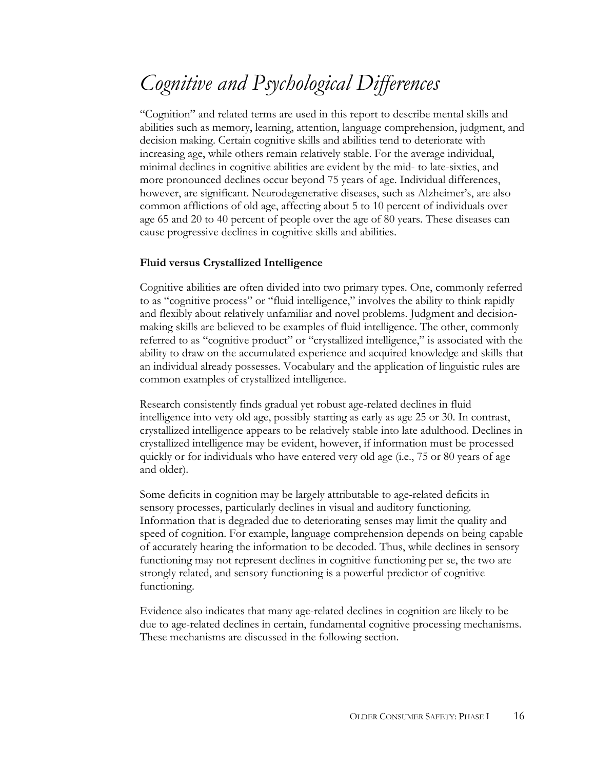## *Cognitive and Psychological Differences*

"Cognition" and related terms are used in this report to describe mental skills and abilities such as memory, learning, attention, language comprehension, judgment, and decision making. Certain cognitive skills and abilities tend to deteriorate with increasing age, while others remain relatively stable. For the average individual, minimal declines in cognitive abilities are evident by the mid- to late-sixties, and more pronounced declines occur beyond 75 years of age. Individual differences, however, are significant. Neurodegenerative diseases, such as Alzheimer's, are also common afflictions of old age, affecting about 5 to 10 percent of individuals over age 65 and 20 to 40 percent of people over the age of 80 years. These diseases can cause progressive declines in cognitive skills and abilities.

## **Fluid versus Crystallized Intelligence**

Cognitive abilities are often divided into two primary types. One, commonly referred to as "cognitive process" or "fluid intelligence," involves the ability to think rapidly and flexibly about relatively unfamiliar and novel problems. Judgment and decisionmaking skills are believed to be examples of fluid intelligence. The other, commonly referred to as "cognitive product" or "crystallized intelligence," is associated with the ability to draw on the accumulated experience and acquired knowledge and skills that an individual already possesses. Vocabulary and the application of linguistic rules are common examples of crystallized intelligence.

Research consistently finds gradual yet robust age-related declines in fluid intelligence into very old age, possibly starting as early as age 25 or 30. In contrast, crystallized intelligence appears to be relatively stable into late adulthood. Declines in crystallized intelligence may be evident, however, if information must be processed quickly or for individuals who have entered very old age (i.e., 75 or 80 years of age and older).

Some deficits in cognition may be largely attributable to age-related deficits in sensory processes, particularly declines in visual and auditory functioning. Information that is degraded due to deteriorating senses may limit the quality and speed of cognition. For example, language comprehension depends on being capable of accurately hearing the information to be decoded. Thus, while declines in sensory functioning may not represent declines in cognitive functioning per se, the two are strongly related, and sensory functioning is a powerful predictor of cognitive functioning.

Evidence also indicates that many age-related declines in cognition are likely to be due to age-related declines in certain, fundamental cognitive processing mechanisms. These mechanisms are discussed in the following section.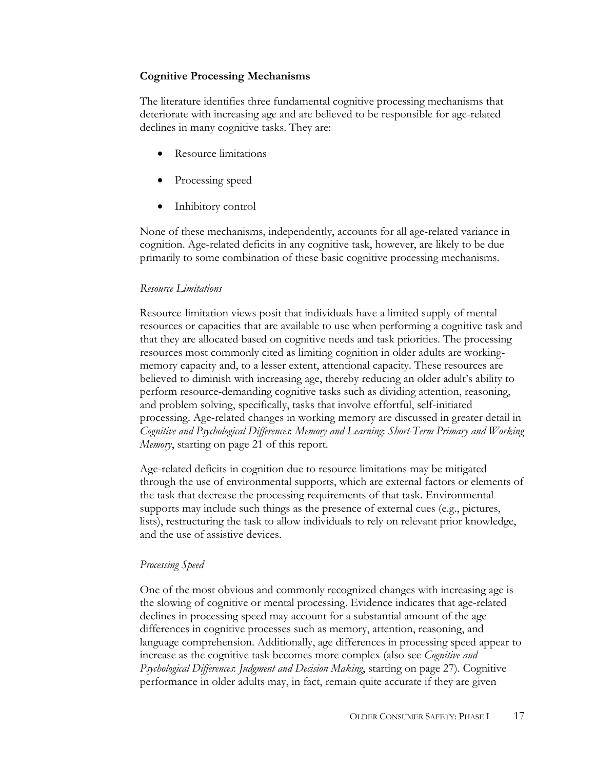## **Cognitive Processing Mechanisms**

The literature identifies three fundamental cognitive processing mechanisms that deteriorate with increasing age and are believed to be responsible for age-related declines in many cognitive tasks. They are:

- Resource limitations
- Processing speed
- Inhibitory control

None of these mechanisms, independently, accounts for all age-related variance in cognition. Age-related deficits in any cognitive task, however, are likely to be due primarily to some combination of these basic cognitive processing mechanisms.

## *Resource Limitations*

Resource-limitation views posit that individuals have a limited supply of mental resources or capacities that are available to use when performing a cognitive task and that they are allocated based on cognitive needs and task priorities. The processing resources most commonly cited as limiting cognition in older adults are workingmemory capacity and, to a lesser extent, attentional capacity. These resources are believed to diminish with increasing age, thereby reducing an older adult's ability to perform resource-demanding cognitive tasks such as dividing attention, reasoning, and problem solving, specifically, tasks that involve effortful, self-initiated processing. Age-related changes in working memory are discussed in greater detail in *Cognitive and Psychological Differences*: *Memory and Learning*: *Short-Term Primary and Working Memory*, starting on page 21 of this report.

Age-related deficits in cognition due to resource limitations may be mitigated through the use of environmental supports, which are external factors or elements of the task that decrease the processing requirements of that task. Environmental supports may include such things as the presence of external cues (e.g., pictures, lists), restructuring the task to allow individuals to rely on relevant prior knowledge, and the use of assistive devices.

## *Processing Speed*

One of the most obvious and commonly recognized changes with increasing age is the slowing of cognitive or mental processing. Evidence indicates that age-related declines in processing speed may account for a substantial amount of the age differences in cognitive processes such as memory, attention, reasoning, and language comprehension. Additionally, age differences in processing speed appear to increase as the cognitive task becomes more complex (also see *Cognitive and Psychological Differences*: *Judgment and Decision Making*, starting on page 27). Cognitive performance in older adults may, in fact, remain quite accurate if they are given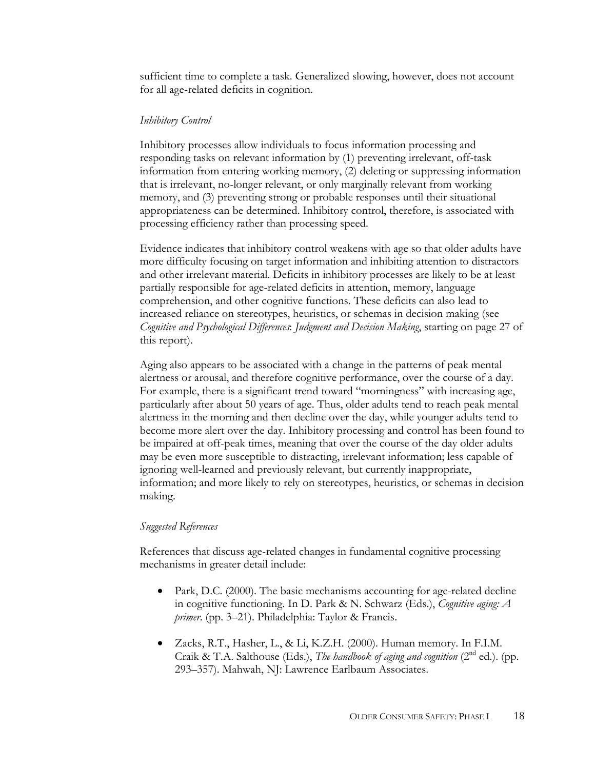sufficient time to complete a task. Generalized slowing, however, does not account for all age-related deficits in cognition.

#### *Inhibitory Control*

Inhibitory processes allow individuals to focus information processing and responding tasks on relevant information by (1) preventing irrelevant, off-task information from entering working memory, (2) deleting or suppressing information that is irrelevant, no-longer relevant, or only marginally relevant from working memory, and (3) preventing strong or probable responses until their situational appropriateness can be determined. Inhibitory control, therefore, is associated with processing efficiency rather than processing speed.

Evidence indicates that inhibitory control weakens with age so that older adults have more difficulty focusing on target information and inhibiting attention to distractors and other irrelevant material. Deficits in inhibitory processes are likely to be at least partially responsible for age-related deficits in attention, memory, language comprehension, and other cognitive functions. These deficits can also lead to increased reliance on stereotypes, heuristics, or schemas in decision making (see *Cognitive and Psychological Differences*: *Judgment and Decision Making*, starting on page 27 of this report).

Aging also appears to be associated with a change in the patterns of peak mental alertness or arousal, and therefore cognitive performance, over the course of a day. For example, there is a significant trend toward "morningness" with increasing age, particularly after about 50 years of age. Thus, older adults tend to reach peak mental alertness in the morning and then decline over the day, while younger adults tend to become more alert over the day. Inhibitory processing and control has been found to be impaired at off-peak times, meaning that over the course of the day older adults may be even more susceptible to distracting, irrelevant information; less capable of ignoring well-learned and previously relevant, but currently inappropriate, information; and more likely to rely on stereotypes, heuristics, or schemas in decision making.

#### *Suggested References*

References that discuss age-related changes in fundamental cognitive processing mechanisms in greater detail include:

- Park, D.C. (2000). The basic mechanisms accounting for age-related decline in cognitive functioning. In D. Park & N. Schwarz (Eds.), *Cognitive aging: A primer*. (pp. 3–21). Philadelphia: Taylor & Francis.
- Zacks, R.T., Hasher, L., & Li, K.Z.H. (2000). Human memory. In F.I.M. Craik & T.A. Salthouse (Eds.), *The handbook of aging and cognition* ( $2<sup>nd</sup>$  ed.). (pp. 293–357). Mahwah, NJ: Lawrence Earlbaum Associates.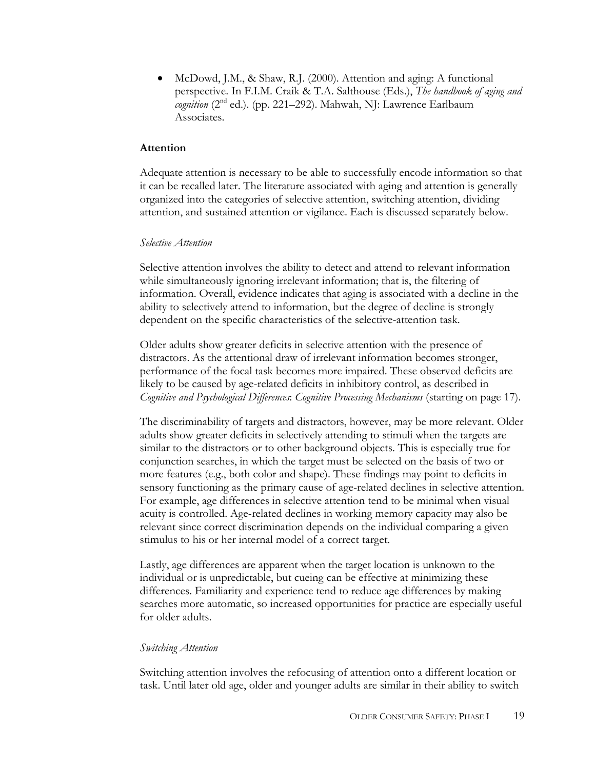• McDowd, J.M., & Shaw, R.J. (2000). Attention and aging: A functional perspective. In F.I.M. Craik & T.A. Salthouse (Eds.), *The handbook of aging and cognition* (2nd ed.). (pp. 221–292). Mahwah, NJ: Lawrence Earlbaum Associates.

#### **Attention**

Adequate attention is necessary to be able to successfully encode information so that it can be recalled later. The literature associated with aging and attention is generally organized into the categories of selective attention, switching attention, dividing attention, and sustained attention or vigilance. Each is discussed separately below.

#### *Selective Attention*

Selective attention involves the ability to detect and attend to relevant information while simultaneously ignoring irrelevant information; that is, the filtering of information. Overall, evidence indicates that aging is associated with a decline in the ability to selectively attend to information, but the degree of decline is strongly dependent on the specific characteristics of the selective-attention task.

Older adults show greater deficits in selective attention with the presence of distractors. As the attentional draw of irrelevant information becomes stronger, performance of the focal task becomes more impaired. These observed deficits are likely to be caused by age-related deficits in inhibitory control, as described in *Cognitive and Psychological Differences*: *Cognitive Processing Mechanisms* (starting on page 17).

The discriminability of targets and distractors, however, may be more relevant. Older adults show greater deficits in selectively attending to stimuli when the targets are similar to the distractors or to other background objects. This is especially true for conjunction searches, in which the target must be selected on the basis of two or more features (e.g., both color and shape). These findings may point to deficits in sensory functioning as the primary cause of age-related declines in selective attention. For example, age differences in selective attention tend to be minimal when visual acuity is controlled. Age-related declines in working memory capacity may also be relevant since correct discrimination depends on the individual comparing a given stimulus to his or her internal model of a correct target.

Lastly, age differences are apparent when the target location is unknown to the individual or is unpredictable, but cueing can be effective at minimizing these differences. Familiarity and experience tend to reduce age differences by making searches more automatic, so increased opportunities for practice are especially useful for older adults.

#### *Switching Attention*

Switching attention involves the refocusing of attention onto a different location or task. Until later old age, older and younger adults are similar in their ability to switch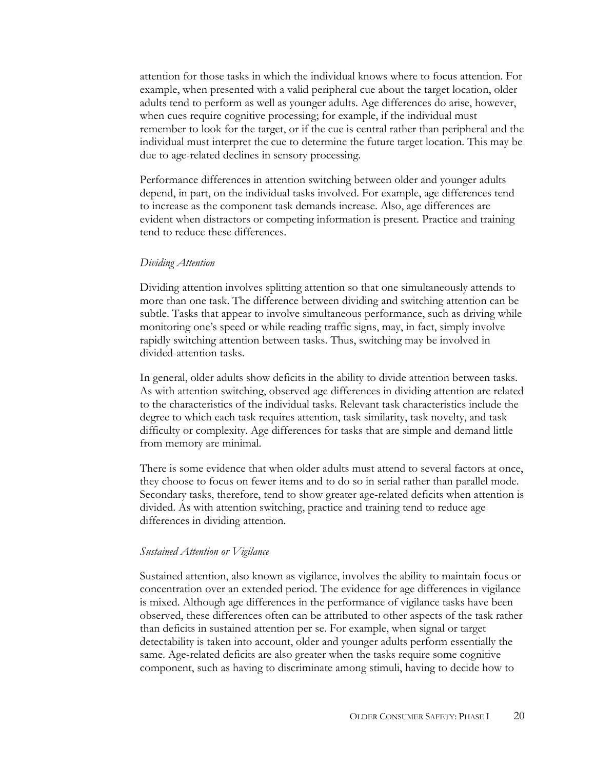attention for those tasks in which the individual knows where to focus attention. For example, when presented with a valid peripheral cue about the target location, older adults tend to perform as well as younger adults. Age differences do arise, however, when cues require cognitive processing; for example, if the individual must remember to look for the target, or if the cue is central rather than peripheral and the individual must interpret the cue to determine the future target location. This may be due to age-related declines in sensory processing.

Performance differences in attention switching between older and younger adults depend, in part, on the individual tasks involved. For example, age differences tend to increase as the component task demands increase. Also, age differences are evident when distractors or competing information is present. Practice and training tend to reduce these differences.

#### *Dividing Attention*

Dividing attention involves splitting attention so that one simultaneously attends to more than one task. The difference between dividing and switching attention can be subtle. Tasks that appear to involve simultaneous performance, such as driving while monitoring one's speed or while reading traffic signs, may, in fact, simply involve rapidly switching attention between tasks. Thus, switching may be involved in divided-attention tasks.

In general, older adults show deficits in the ability to divide attention between tasks. As with attention switching, observed age differences in dividing attention are related to the characteristics of the individual tasks. Relevant task characteristics include the degree to which each task requires attention, task similarity, task novelty, and task difficulty or complexity. Age differences for tasks that are simple and demand little from memory are minimal.

There is some evidence that when older adults must attend to several factors at once, they choose to focus on fewer items and to do so in serial rather than parallel mode. Secondary tasks, therefore, tend to show greater age-related deficits when attention is divided. As with attention switching, practice and training tend to reduce age differences in dividing attention.

#### *Sustained Attention or Vigilance*

Sustained attention, also known as vigilance, involves the ability to maintain focus or concentration over an extended period. The evidence for age differences in vigilance is mixed. Although age differences in the performance of vigilance tasks have been observed, these differences often can be attributed to other aspects of the task rather than deficits in sustained attention per se. For example, when signal or target detectability is taken into account, older and younger adults perform essentially the same. Age-related deficits are also greater when the tasks require some cognitive component, such as having to discriminate among stimuli, having to decide how to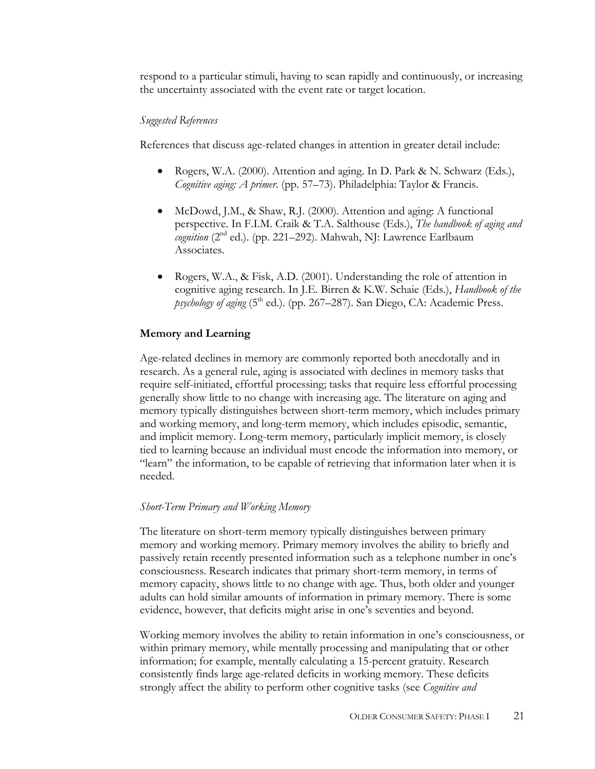respond to a particular stimuli, having to scan rapidly and continuously, or increasing the uncertainty associated with the event rate or target location.

## *Suggested References*

References that discuss age-related changes in attention in greater detail include:

- Rogers, W.A. (2000). Attention and aging. In D. Park & N. Schwarz (Eds.), *Cognitive aging: A primer*. (pp. 57–73). Philadelphia: Taylor & Francis.
- McDowd, J.M., & Shaw, R.J. (2000). Attention and aging: A functional perspective. In F.I.M. Craik & T.A. Salthouse (Eds.), *The handbook of aging and cognition* (2<sup>nd</sup> ed.). (pp. 221–292). Mahwah, NJ: Lawrence Earlbaum Associates.
- Rogers, W.A., & Fisk, A.D. (2001). Understanding the role of attention in cognitive aging research. In J.E. Birren & K.W. Schaie (Eds.), *Handbook of the psychology of aging* (5<sup>th</sup> ed.). (pp. 267–287). San Diego, CA: Academic Press.

## **Memory and Learning**

Age-related declines in memory are commonly reported both anecdotally and in research. As a general rule, aging is associated with declines in memory tasks that require self-initiated, effortful processing; tasks that require less effortful processing generally show little to no change with increasing age. The literature on aging and memory typically distinguishes between short-term memory, which includes primary and working memory, and long-term memory, which includes episodic, semantic, and implicit memory. Long-term memory, particularly implicit memory, is closely tied to learning because an individual must encode the information into memory, or "learn" the information, to be capable of retrieving that information later when it is needed.

#### *Short-Term Primary and Working Memory*

The literature on short-term memory typically distinguishes between primary memory and working memory. Primary memory involves the ability to briefly and passively retain recently presented information such as a telephone number in one's consciousness. Research indicates that primary short-term memory, in terms of memory capacity, shows little to no change with age. Thus, both older and younger adults can hold similar amounts of information in primary memory. There is some evidence, however, that deficits might arise in one's seventies and beyond.

Working memory involves the ability to retain information in one's consciousness, or within primary memory, while mentally processing and manipulating that or other information; for example, mentally calculating a 15-percent gratuity. Research consistently finds large age-related deficits in working memory. These deficits strongly affect the ability to perform other cognitive tasks (see *Cognitive and*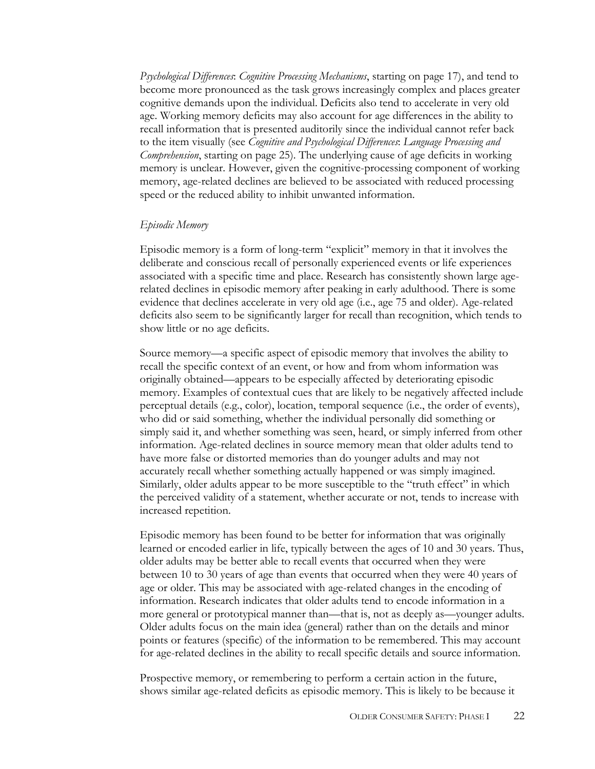*Psychological Differences*: *Cognitive Processing Mechanisms*, starting on page 17), and tend to become more pronounced as the task grows increasingly complex and places greater cognitive demands upon the individual. Deficits also tend to accelerate in very old age. Working memory deficits may also account for age differences in the ability to recall information that is presented auditorily since the individual cannot refer back to the item visually (see *Cognitive and Psychological Differences*: *Language Processing and Comprehension*, starting on page 25). The underlying cause of age deficits in working memory is unclear. However, given the cognitive-processing component of working memory, age-related declines are believed to be associated with reduced processing speed or the reduced ability to inhibit unwanted information.

## *Episodic Memory*

Episodic memory is a form of long-term "explicit" memory in that it involves the deliberate and conscious recall of personally experienced events or life experiences associated with a specific time and place. Research has consistently shown large agerelated declines in episodic memory after peaking in early adulthood. There is some evidence that declines accelerate in very old age (i.e., age 75 and older). Age-related deficits also seem to be significantly larger for recall than recognition, which tends to show little or no age deficits.

Source memory—a specific aspect of episodic memory that involves the ability to recall the specific context of an event, or how and from whom information was originally obtained—appears to be especially affected by deteriorating episodic memory. Examples of contextual cues that are likely to be negatively affected include perceptual details (e.g., color), location, temporal sequence (i.e., the order of events), who did or said something, whether the individual personally did something or simply said it, and whether something was seen, heard, or simply inferred from other information. Age-related declines in source memory mean that older adults tend to have more false or distorted memories than do younger adults and may not accurately recall whether something actually happened or was simply imagined. Similarly, older adults appear to be more susceptible to the "truth effect" in which the perceived validity of a statement, whether accurate or not, tends to increase with increased repetition.

Episodic memory has been found to be better for information that was originally learned or encoded earlier in life, typically between the ages of 10 and 30 years. Thus, older adults may be better able to recall events that occurred when they were between 10 to 30 years of age than events that occurred when they were 40 years of age or older. This may be associated with age-related changes in the encoding of information. Research indicates that older adults tend to encode information in a more general or prototypical manner than—that is, not as deeply as—younger adults. Older adults focus on the main idea (general) rather than on the details and minor points or features (specific) of the information to be remembered. This may account for age-related declines in the ability to recall specific details and source information.

Prospective memory, or remembering to perform a certain action in the future, shows similar age-related deficits as episodic memory. This is likely to be because it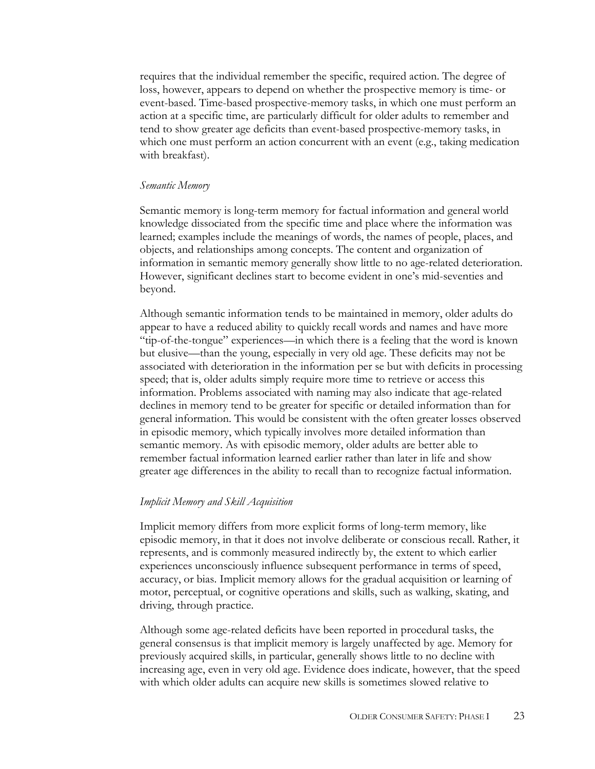requires that the individual remember the specific, required action. The degree of loss, however, appears to depend on whether the prospective memory is time- or event-based. Time-based prospective-memory tasks, in which one must perform an action at a specific time, are particularly difficult for older adults to remember and tend to show greater age deficits than event-based prospective-memory tasks, in which one must perform an action concurrent with an event (e.g., taking medication with breakfast).

#### *Semantic Memory*

Semantic memory is long-term memory for factual information and general world knowledge dissociated from the specific time and place where the information was learned; examples include the meanings of words, the names of people, places, and objects, and relationships among concepts. The content and organization of information in semantic memory generally show little to no age-related deterioration. However, significant declines start to become evident in one's mid-seventies and beyond.

Although semantic information tends to be maintained in memory, older adults do appear to have a reduced ability to quickly recall words and names and have more "tip-of-the-tongue" experiences—in which there is a feeling that the word is known but elusive—than the young, especially in very old age. These deficits may not be associated with deterioration in the information per se but with deficits in processing speed; that is, older adults simply require more time to retrieve or access this information. Problems associated with naming may also indicate that age-related declines in memory tend to be greater for specific or detailed information than for general information. This would be consistent with the often greater losses observed in episodic memory, which typically involves more detailed information than semantic memory. As with episodic memory, older adults are better able to remember factual information learned earlier rather than later in life and show greater age differences in the ability to recall than to recognize factual information.

#### *Implicit Memory and Skill Acquisition*

Implicit memory differs from more explicit forms of long-term memory, like episodic memory, in that it does not involve deliberate or conscious recall. Rather, it represents, and is commonly measured indirectly by, the extent to which earlier experiences unconsciously influence subsequent performance in terms of speed, accuracy, or bias. Implicit memory allows for the gradual acquisition or learning of motor, perceptual, or cognitive operations and skills, such as walking, skating, and driving, through practice.

Although some age-related deficits have been reported in procedural tasks, the general consensus is that implicit memory is largely unaffected by age. Memory for previously acquired skills, in particular, generally shows little to no decline with increasing age, even in very old age. Evidence does indicate, however, that the speed with which older adults can acquire new skills is sometimes slowed relative to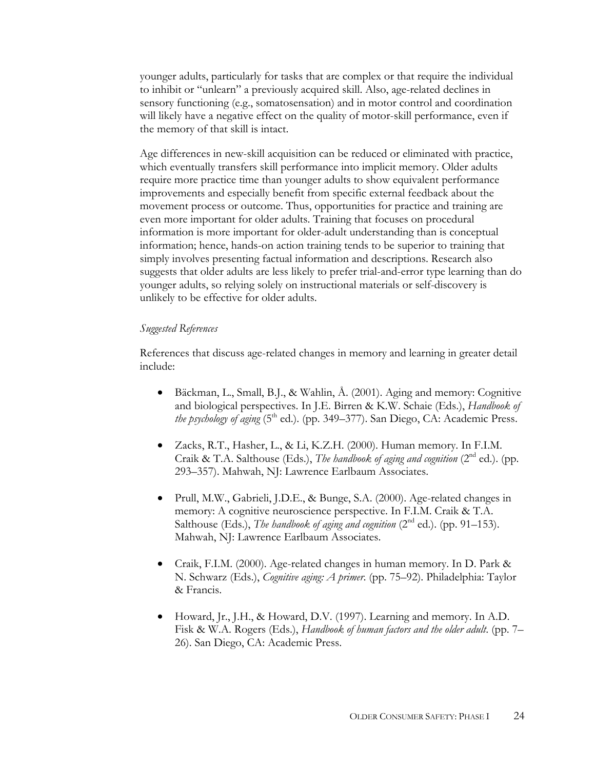younger adults, particularly for tasks that are complex or that require the individual to inhibit or "unlearn" a previously acquired skill. Also, age-related declines in sensory functioning (e.g., somatosensation) and in motor control and coordination will likely have a negative effect on the quality of motor-skill performance, even if the memory of that skill is intact.

Age differences in new-skill acquisition can be reduced or eliminated with practice, which eventually transfers skill performance into implicit memory. Older adults require more practice time than younger adults to show equivalent performance improvements and especially benefit from specific external feedback about the movement process or outcome. Thus, opportunities for practice and training are even more important for older adults. Training that focuses on procedural information is more important for older-adult understanding than is conceptual information; hence, hands-on action training tends to be superior to training that simply involves presenting factual information and descriptions. Research also suggests that older adults are less likely to prefer trial-and-error type learning than do younger adults, so relying solely on instructional materials or self-discovery is unlikely to be effective for older adults.

#### *Suggested References*

References that discuss age-related changes in memory and learning in greater detail include:

- Bäckman, L., Small, B.J., & Wahlin, Å. (2001). Aging and memory: Cognitive and biological perspectives. In J.E. Birren & K.W. Schaie (Eds.), *Handbook of the psychology of aging* (5<sup>th</sup> ed.). (pp. 349–377). San Diego, CA: Academic Press.
- Zacks, R.T., Hasher, L., & Li, K.Z.H. (2000). Human memory. In F.I.M. Craik & T.A. Salthouse (Eds.), *The handbook of aging and cognition* ( $2<sup>nd</sup>$  ed.). (pp. 293–357). Mahwah, NJ: Lawrence Earlbaum Associates.
- Prull, M.W., Gabrieli, J.D.E., & Bunge, S.A. (2000). Age-related changes in memory: A cognitive neuroscience perspective. In F.I.M. Craik & T.A. Salthouse (Eds.), *The handbook of aging and cognition* (2<sup>nd</sup> ed.). (pp. 91–153). Mahwah, NJ: Lawrence Earlbaum Associates.
- Craik, F.I.M. (2000). Age-related changes in human memory. In D. Park & N. Schwarz (Eds.), *Cognitive aging: A primer*. (pp. 75–92). Philadelphia: Taylor & Francis.
- Howard, Jr., J.H., & Howard, D.V. (1997). Learning and memory. In A.D. Fisk & W.A. Rogers (Eds.), *Handbook of human factors and the older adult*. (pp. 7– 26). San Diego, CA: Academic Press.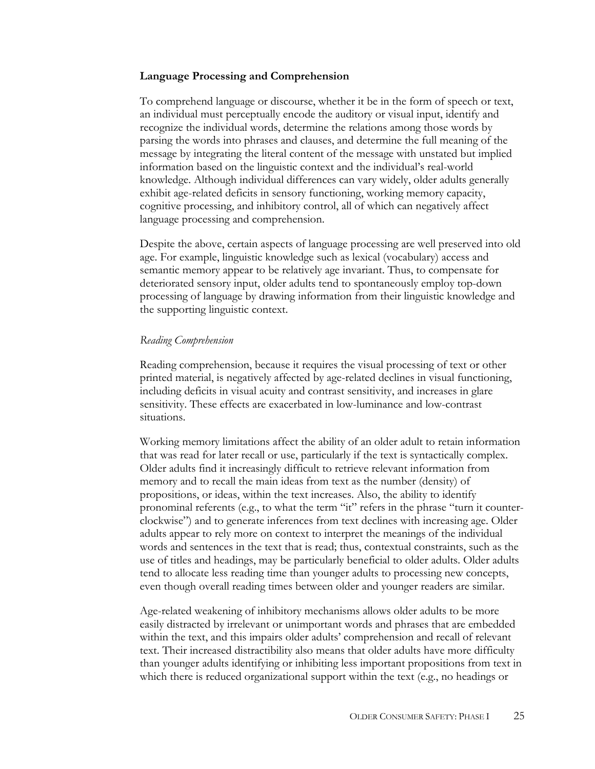## **Language Processing and Comprehension**

To comprehend language or discourse, whether it be in the form of speech or text, an individual must perceptually encode the auditory or visual input, identify and recognize the individual words, determine the relations among those words by parsing the words into phrases and clauses, and determine the full meaning of the message by integrating the literal content of the message with unstated but implied information based on the linguistic context and the individual's real-world knowledge. Although individual differences can vary widely, older adults generally exhibit age-related deficits in sensory functioning, working memory capacity, cognitive processing, and inhibitory control, all of which can negatively affect language processing and comprehension.

Despite the above, certain aspects of language processing are well preserved into old age. For example, linguistic knowledge such as lexical (vocabulary) access and semantic memory appear to be relatively age invariant. Thus, to compensate for deteriorated sensory input, older adults tend to spontaneously employ top-down processing of language by drawing information from their linguistic knowledge and the supporting linguistic context.

#### *Reading Comprehension*

Reading comprehension, because it requires the visual processing of text or other printed material, is negatively affected by age-related declines in visual functioning, including deficits in visual acuity and contrast sensitivity, and increases in glare sensitivity. These effects are exacerbated in low-luminance and low-contrast situations.

Working memory limitations affect the ability of an older adult to retain information that was read for later recall or use, particularly if the text is syntactically complex. Older adults find it increasingly difficult to retrieve relevant information from memory and to recall the main ideas from text as the number (density) of propositions, or ideas, within the text increases. Also, the ability to identify pronominal referents (e.g., to what the term "it" refers in the phrase "turn it counterclockwise") and to generate inferences from text declines with increasing age. Older adults appear to rely more on context to interpret the meanings of the individual words and sentences in the text that is read; thus, contextual constraints, such as the use of titles and headings, may be particularly beneficial to older adults. Older adults tend to allocate less reading time than younger adults to processing new concepts, even though overall reading times between older and younger readers are similar.

Age-related weakening of inhibitory mechanisms allows older adults to be more easily distracted by irrelevant or unimportant words and phrases that are embedded within the text, and this impairs older adults' comprehension and recall of relevant text. Their increased distractibility also means that older adults have more difficulty than younger adults identifying or inhibiting less important propositions from text in which there is reduced organizational support within the text (e.g., no headings or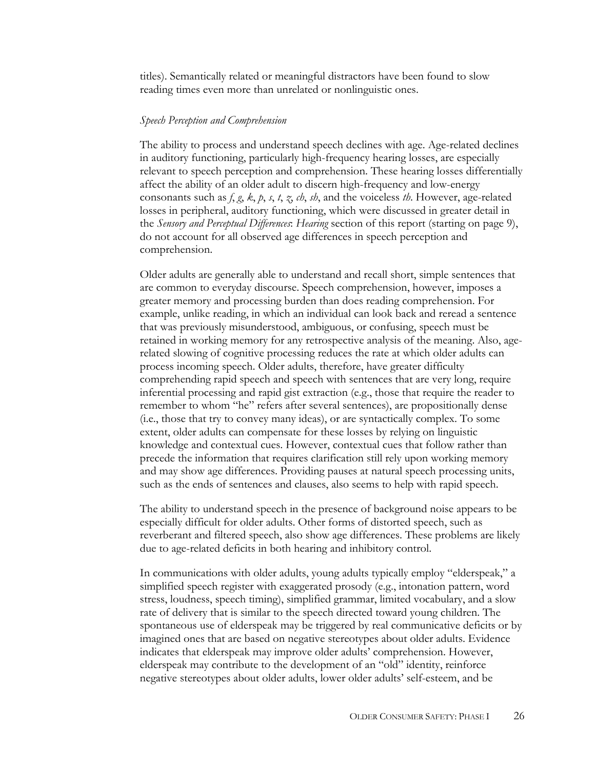titles). Semantically related or meaningful distractors have been found to slow reading times even more than unrelated or nonlinguistic ones.

#### *Speech Perception and Comprehension*

The ability to process and understand speech declines with age. Age-related declines in auditory functioning, particularly high-frequency hearing losses, are especially relevant to speech perception and comprehension. These hearing losses differentially affect the ability of an older adult to discern high-frequency and low-energy consonants such as  $f, g, k, p, s, t, z, ch, sb$ , and the voiceless *th*. However, age-related losses in peripheral, auditory functioning, which were discussed in greater detail in the *Sensory and Perceptual Differences*: *Hearing* section of this report (starting on page 9), do not account for all observed age differences in speech perception and comprehension.

Older adults are generally able to understand and recall short, simple sentences that are common to everyday discourse. Speech comprehension, however, imposes a greater memory and processing burden than does reading comprehension. For example, unlike reading, in which an individual can look back and reread a sentence that was previously misunderstood, ambiguous, or confusing, speech must be retained in working memory for any retrospective analysis of the meaning. Also, agerelated slowing of cognitive processing reduces the rate at which older adults can process incoming speech. Older adults, therefore, have greater difficulty comprehending rapid speech and speech with sentences that are very long, require inferential processing and rapid gist extraction (e.g., those that require the reader to remember to whom "he" refers after several sentences), are propositionally dense (i.e., those that try to convey many ideas), or are syntactically complex. To some extent, older adults can compensate for these losses by relying on linguistic knowledge and contextual cues. However, contextual cues that follow rather than precede the information that requires clarification still rely upon working memory and may show age differences. Providing pauses at natural speech processing units, such as the ends of sentences and clauses, also seems to help with rapid speech.

The ability to understand speech in the presence of background noise appears to be especially difficult for older adults. Other forms of distorted speech, such as reverberant and filtered speech, also show age differences. These problems are likely due to age-related deficits in both hearing and inhibitory control.

In communications with older adults, young adults typically employ "elderspeak," a simplified speech register with exaggerated prosody (e.g., intonation pattern, word stress, loudness, speech timing), simplified grammar, limited vocabulary, and a slow rate of delivery that is similar to the speech directed toward young children. The spontaneous use of elderspeak may be triggered by real communicative deficits or by imagined ones that are based on negative stereotypes about older adults. Evidence indicates that elderspeak may improve older adults' comprehension. However, elderspeak may contribute to the development of an "old" identity, reinforce negative stereotypes about older adults, lower older adults' self-esteem, and be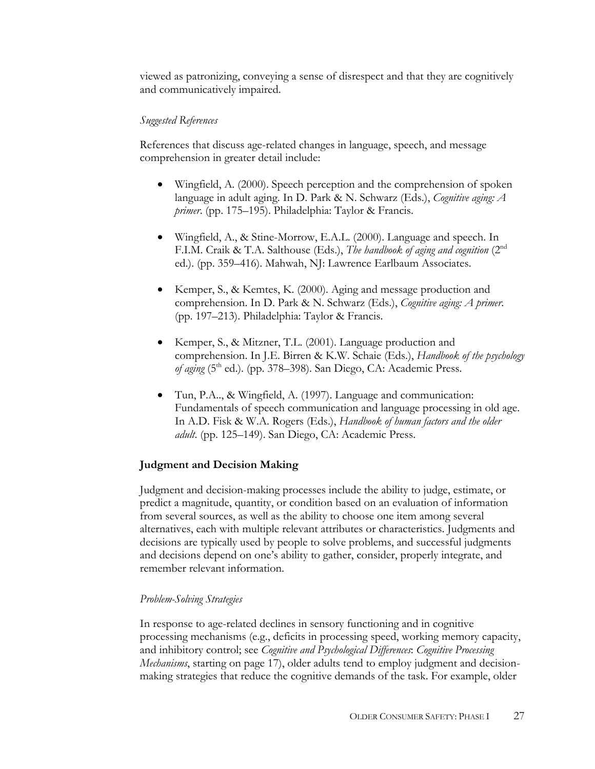viewed as patronizing, conveying a sense of disrespect and that they are cognitively and communicatively impaired.

## *Suggested References*

References that discuss age-related changes in language, speech, and message comprehension in greater detail include:

- Wingfield, A. (2000). Speech perception and the comprehension of spoken language in adult aging. In D. Park & N. Schwarz (Eds.), *Cognitive aging: A primer*. (pp. 175–195). Philadelphia: Taylor & Francis.
- Wingfield, A., & Stine-Morrow, E.A.L. (2000). Language and speech. In F.I.M. Craik & T.A. Salthouse (Eds.), *The handbook of aging and cognition* (2nd ed.). (pp. 359–416). Mahwah, NJ: Lawrence Earlbaum Associates.
- Kemper, S., & Kemtes, K. (2000). Aging and message production and comprehension. In D. Park & N. Schwarz (Eds.), *Cognitive aging: A primer*. (pp. 197–213). Philadelphia: Taylor & Francis.
- Kemper, S., & Mitzner, T.L. (2001). Language production and comprehension. In J.E. Birren & K.W. Schaie (Eds.), *Handbook of the psychology of aging* (5<sup>th</sup> ed.). (pp. 378–398). San Diego, CA: Academic Press.
- Tun, P.A.., & Wingfield, A. (1997). Language and communication: Fundamentals of speech communication and language processing in old age. In A.D. Fisk & W.A. Rogers (Eds.), *Handbook of human factors and the older adult*. (pp. 125–149). San Diego, CA: Academic Press.

## **Judgment and Decision Making**

Judgment and decision-making processes include the ability to judge, estimate, or predict a magnitude, quantity, or condition based on an evaluation of information from several sources, as well as the ability to choose one item among several alternatives, each with multiple relevant attributes or characteristics. Judgments and decisions are typically used by people to solve problems, and successful judgments and decisions depend on one's ability to gather, consider, properly integrate, and remember relevant information.

## *Problem-Solving Strategies*

In response to age-related declines in sensory functioning and in cognitive processing mechanisms (e.g., deficits in processing speed, working memory capacity, and inhibitory control; see *Cognitive and Psychological Differences*: *Cognitive Processing Mechanisms*, starting on page 17), older adults tend to employ judgment and decisionmaking strategies that reduce the cognitive demands of the task. For example, older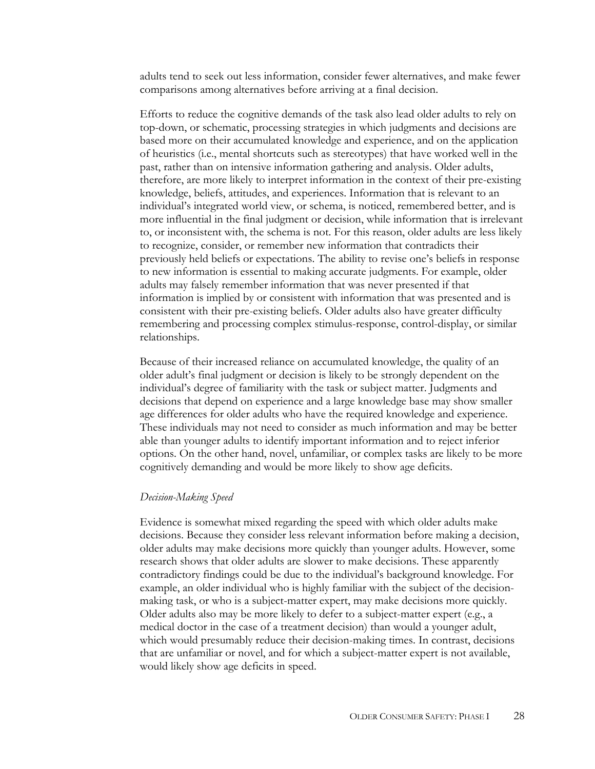adults tend to seek out less information, consider fewer alternatives, and make fewer comparisons among alternatives before arriving at a final decision.

Efforts to reduce the cognitive demands of the task also lead older adults to rely on top-down, or schematic, processing strategies in which judgments and decisions are based more on their accumulated knowledge and experience, and on the application of heuristics (i.e., mental shortcuts such as stereotypes) that have worked well in the past, rather than on intensive information gathering and analysis. Older adults, therefore, are more likely to interpret information in the context of their pre-existing knowledge, beliefs, attitudes, and experiences. Information that is relevant to an individual's integrated world view, or schema, is noticed, remembered better, and is more influential in the final judgment or decision, while information that is irrelevant to, or inconsistent with, the schema is not. For this reason, older adults are less likely to recognize, consider, or remember new information that contradicts their previously held beliefs or expectations. The ability to revise one's beliefs in response to new information is essential to making accurate judgments. For example, older adults may falsely remember information that was never presented if that information is implied by or consistent with information that was presented and is consistent with their pre-existing beliefs. Older adults also have greater difficulty remembering and processing complex stimulus-response, control-display, or similar relationships.

Because of their increased reliance on accumulated knowledge, the quality of an older adult's final judgment or decision is likely to be strongly dependent on the individual's degree of familiarity with the task or subject matter. Judgments and decisions that depend on experience and a large knowledge base may show smaller age differences for older adults who have the required knowledge and experience. These individuals may not need to consider as much information and may be better able than younger adults to identify important information and to reject inferior options. On the other hand, novel, unfamiliar, or complex tasks are likely to be more cognitively demanding and would be more likely to show age deficits.

#### *Decision-Making Speed*

Evidence is somewhat mixed regarding the speed with which older adults make decisions. Because they consider less relevant information before making a decision, older adults may make decisions more quickly than younger adults. However, some research shows that older adults are slower to make decisions. These apparently contradictory findings could be due to the individual's background knowledge. For example, an older individual who is highly familiar with the subject of the decisionmaking task, or who is a subject-matter expert, may make decisions more quickly. Older adults also may be more likely to defer to a subject-matter expert (e.g., a medical doctor in the case of a treatment decision) than would a younger adult, which would presumably reduce their decision-making times. In contrast, decisions that are unfamiliar or novel, and for which a subject-matter expert is not available, would likely show age deficits in speed.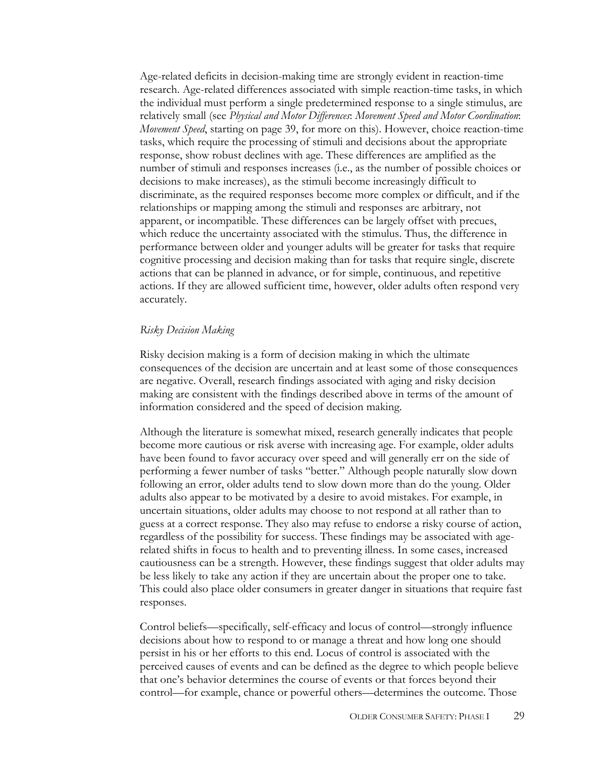Age-related deficits in decision-making time are strongly evident in reaction-time research. Age-related differences associated with simple reaction-time tasks, in which the individual must perform a single predetermined response to a single stimulus, are relatively small (see *Physical and Motor Differences*: *Movement Speed and Motor Coordination*: *Movement Speed*, starting on page 39, for more on this). However, choice reaction-time tasks, which require the processing of stimuli and decisions about the appropriate response, show robust declines with age. These differences are amplified as the number of stimuli and responses increases (i.e., as the number of possible choices or decisions to make increases), as the stimuli become increasingly difficult to discriminate, as the required responses become more complex or difficult, and if the relationships or mapping among the stimuli and responses are arbitrary, not apparent, or incompatible. These differences can be largely offset with precues, which reduce the uncertainty associated with the stimulus. Thus, the difference in performance between older and younger adults will be greater for tasks that require cognitive processing and decision making than for tasks that require single, discrete actions that can be planned in advance, or for simple, continuous, and repetitive actions. If they are allowed sufficient time, however, older adults often respond very accurately.

#### *Risky Decision Making*

Risky decision making is a form of decision making in which the ultimate consequences of the decision are uncertain and at least some of those consequences are negative. Overall, research findings associated with aging and risky decision making are consistent with the findings described above in terms of the amount of information considered and the speed of decision making.

Although the literature is somewhat mixed, research generally indicates that people become more cautious or risk averse with increasing age. For example, older adults have been found to favor accuracy over speed and will generally err on the side of performing a fewer number of tasks "better." Although people naturally slow down following an error, older adults tend to slow down more than do the young. Older adults also appear to be motivated by a desire to avoid mistakes. For example, in uncertain situations, older adults may choose to not respond at all rather than to guess at a correct response. They also may refuse to endorse a risky course of action, regardless of the possibility for success. These findings may be associated with agerelated shifts in focus to health and to preventing illness. In some cases, increased cautiousness can be a strength. However, these findings suggest that older adults may be less likely to take any action if they are uncertain about the proper one to take. This could also place older consumers in greater danger in situations that require fast responses.

Control beliefs—specifically, self-efficacy and locus of control—strongly influence decisions about how to respond to or manage a threat and how long one should persist in his or her efforts to this end. Locus of control is associated with the perceived causes of events and can be defined as the degree to which people believe that one's behavior determines the course of events or that forces beyond their control—for example, chance or powerful others—determines the outcome. Those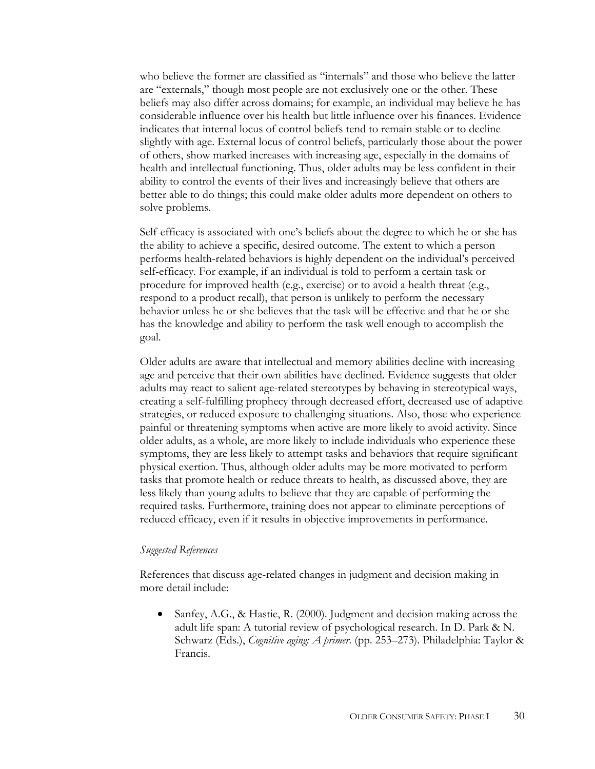who believe the former are classified as "internals" and those who believe the latter are "externals," though most people are not exclusively one or the other. These beliefs may also differ across domains; for example, an individual may believe he has considerable influence over his health but little influence over his finances. Evidence indicates that internal locus of control beliefs tend to remain stable or to decline slightly with age. External locus of control beliefs, particularly those about the power of others, show marked increases with increasing age, especially in the domains of health and intellectual functioning. Thus, older adults may be less confident in their ability to control the events of their lives and increasingly believe that others are better able to do things; this could make older adults more dependent on others to solve problems.

Self-efficacy is associated with one's beliefs about the degree to which he or she has the ability to achieve a specific, desired outcome. The extent to which a person performs health-related behaviors is highly dependent on the individual's perceived self-efficacy. For example, if an individual is told to perform a certain task or procedure for improved health (e.g., exercise) or to avoid a health threat (e.g., respond to a product recall), that person is unlikely to perform the necessary behavior unless he or she believes that the task will be effective and that he or she has the knowledge and ability to perform the task well enough to accomplish the goal.

Older adults are aware that intellectual and memory abilities decline with increasing age and perceive that their own abilities have declined. Evidence suggests that older adults may react to salient age-related stereotypes by behaving in stereotypical ways, creating a self-fulfilling prophecy through decreased effort, decreased use of adaptive strategies, or reduced exposure to challenging situations. Also, those who experience painful or threatening symptoms when active are more likely to avoid activity. Since older adults, as a whole, are more likely to include individuals who experience these symptoms, they are less likely to attempt tasks and behaviors that require significant physical exertion. Thus, although older adults may be more motivated to perform tasks that promote health or reduce threats to health, as discussed above, they are less likely than young adults to believe that they are capable of performing the required tasks. Furthermore, training does not appear to eliminate perceptions of reduced efficacy, even if it results in objective improvements in performance.

#### *Suggested References*

References that discuss age-related changes in judgment and decision making in more detail include:

• Sanfey, A.G., & Hastie, R. (2000). Judgment and decision making across the adult life span: A tutorial review of psychological research. In D. Park & N. Schwarz (Eds.), *Cognitive aging: A primer*. (pp. 253–273). Philadelphia: Taylor & Francis.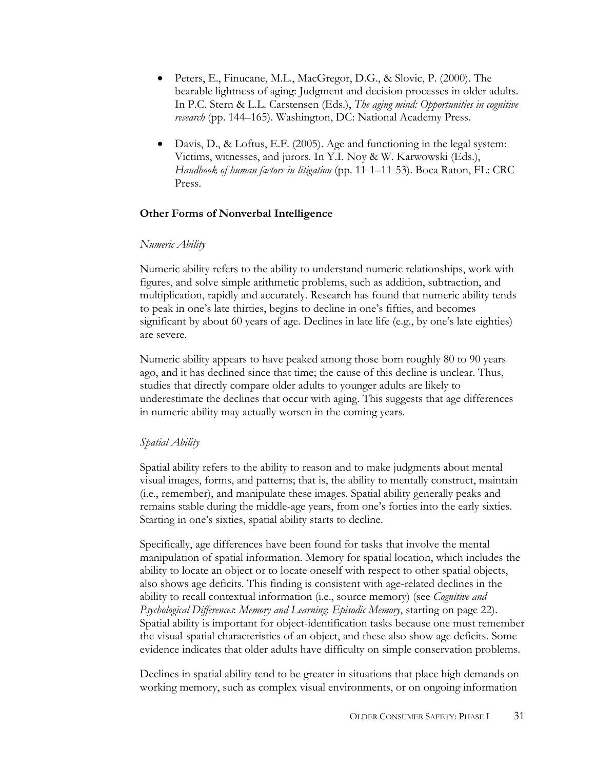- Peters, E., Finucane, M.L., MacGregor, D.G., & Slovic, P. (2000). The bearable lightness of aging: Judgment and decision processes in older adults. In P.C. Stern & L.L. Carstensen (Eds.), *The aging mind: Opportunities in cognitive research* (pp. 144–165). Washington, DC: National Academy Press.
- Davis, D., & Loftus, E.F. (2005). Age and functioning in the legal system: Victims, witnesses, and jurors. In Y.I. Noy & W. Karwowski (Eds.), *Handbook of human factors in litigation* (pp. 11-1–11-53). Boca Raton, FL: CRC Press.

## **Other Forms of Nonverbal Intelligence**

#### *Numeric Ability*

Numeric ability refers to the ability to understand numeric relationships, work with figures, and solve simple arithmetic problems, such as addition, subtraction, and multiplication, rapidly and accurately. Research has found that numeric ability tends to peak in one's late thirties, begins to decline in one's fifties, and becomes significant by about 60 years of age. Declines in late life (e.g., by one's late eighties) are severe.

Numeric ability appears to have peaked among those born roughly 80 to 90 years ago, and it has declined since that time; the cause of this decline is unclear. Thus, studies that directly compare older adults to younger adults are likely to underestimate the declines that occur with aging. This suggests that age differences in numeric ability may actually worsen in the coming years.

## *Spatial Ability*

Spatial ability refers to the ability to reason and to make judgments about mental visual images, forms, and patterns; that is, the ability to mentally construct, maintain (i.e., remember), and manipulate these images. Spatial ability generally peaks and remains stable during the middle-age years, from one's forties into the early sixties. Starting in one's sixties, spatial ability starts to decline.

Specifically, age differences have been found for tasks that involve the mental manipulation of spatial information. Memory for spatial location, which includes the ability to locate an object or to locate oneself with respect to other spatial objects, also shows age deficits. This finding is consistent with age-related declines in the ability to recall contextual information (i.e., source memory) (see *Cognitive and Psychological Differences*: *Memory and Learning*: *Episodic Memory*, starting on page 22). Spatial ability is important for object-identification tasks because one must remember the visual-spatial characteristics of an object, and these also show age deficits. Some evidence indicates that older adults have difficulty on simple conservation problems.

Declines in spatial ability tend to be greater in situations that place high demands on working memory, such as complex visual environments, or on ongoing information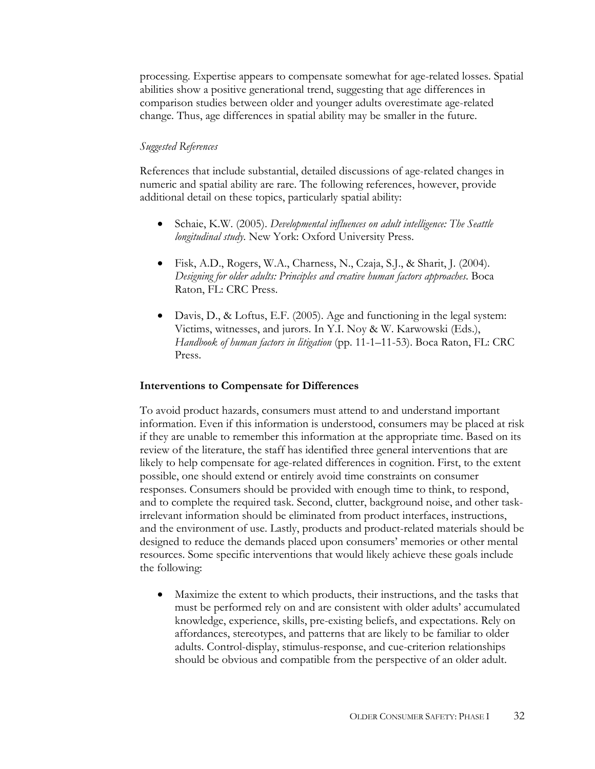processing. Expertise appears to compensate somewhat for age-related losses. Spatial abilities show a positive generational trend, suggesting that age differences in comparison studies between older and younger adults overestimate age-related change. Thus, age differences in spatial ability may be smaller in the future.

## *Suggested References*

References that include substantial, detailed discussions of age-related changes in numeric and spatial ability are rare. The following references, however, provide additional detail on these topics, particularly spatial ability:

- Schaie, K.W. (2005). *Developmental influences on adult intelligence: The Seattle longitudinal study*. New York: Oxford University Press.
- Fisk, A.D., Rogers, W.A., Charness, N., Czaja, S.J., & Sharit, J. (2004). *Designing for older adults: Principles and creative human factors approaches*. Boca Raton, FL: CRC Press.
- Davis, D., & Loftus, E.F. (2005). Age and functioning in the legal system: Victims, witnesses, and jurors. In Y.I. Noy & W. Karwowski (Eds.), *Handbook of human factors in litigation* (pp. 11-1–11-53). Boca Raton, FL: CRC Press.

## **Interventions to Compensate for Differences**

To avoid product hazards, consumers must attend to and understand important information. Even if this information is understood, consumers may be placed at risk if they are unable to remember this information at the appropriate time. Based on its review of the literature, the staff has identified three general interventions that are likely to help compensate for age-related differences in cognition. First, to the extent possible, one should extend or entirely avoid time constraints on consumer responses. Consumers should be provided with enough time to think, to respond, and to complete the required task. Second, clutter, background noise, and other taskirrelevant information should be eliminated from product interfaces, instructions, and the environment of use. Lastly, products and product-related materials should be designed to reduce the demands placed upon consumers' memories or other mental resources. Some specific interventions that would likely achieve these goals include the following:

• Maximize the extent to which products, their instructions, and the tasks that must be performed rely on and are consistent with older adults' accumulated knowledge, experience, skills, pre-existing beliefs, and expectations. Rely on affordances, stereotypes, and patterns that are likely to be familiar to older adults. Control-display, stimulus-response, and cue-criterion relationships should be obvious and compatible from the perspective of an older adult.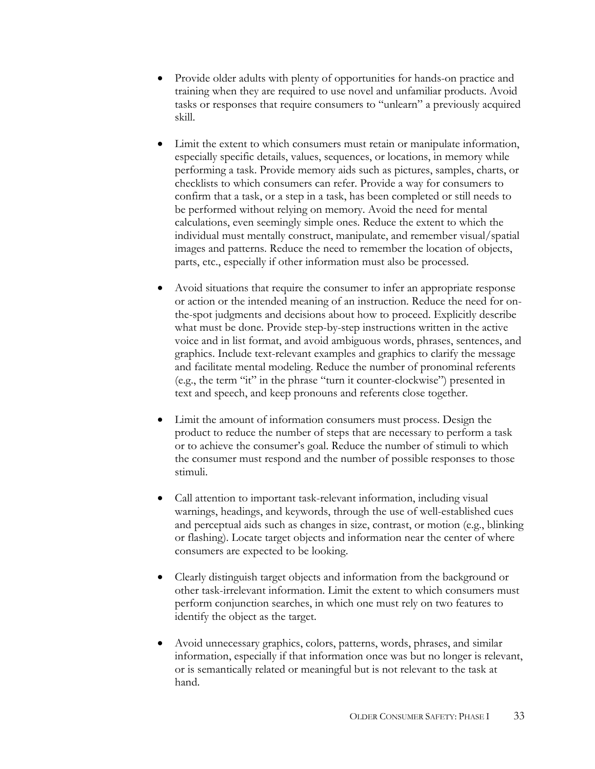- Provide older adults with plenty of opportunities for hands-on practice and training when they are required to use novel and unfamiliar products. Avoid tasks or responses that require consumers to "unlearn" a previously acquired skill.
- Limit the extent to which consumers must retain or manipulate information, especially specific details, values, sequences, or locations, in memory while performing a task. Provide memory aids such as pictures, samples, charts, or checklists to which consumers can refer. Provide a way for consumers to confirm that a task, or a step in a task, has been completed or still needs to be performed without relying on memory. Avoid the need for mental calculations, even seemingly simple ones. Reduce the extent to which the individual must mentally construct, manipulate, and remember visual/spatial images and patterns. Reduce the need to remember the location of objects, parts, etc., especially if other information must also be processed.
- Avoid situations that require the consumer to infer an appropriate response or action or the intended meaning of an instruction. Reduce the need for onthe-spot judgments and decisions about how to proceed. Explicitly describe what must be done. Provide step-by-step instructions written in the active voice and in list format, and avoid ambiguous words, phrases, sentences, and graphics. Include text-relevant examples and graphics to clarify the message and facilitate mental modeling. Reduce the number of pronominal referents (e.g., the term "it" in the phrase "turn it counter-clockwise") presented in text and speech, and keep pronouns and referents close together.
- Limit the amount of information consumers must process. Design the product to reduce the number of steps that are necessary to perform a task or to achieve the consumer's goal. Reduce the number of stimuli to which the consumer must respond and the number of possible responses to those stimuli.
- Call attention to important task-relevant information, including visual warnings, headings, and keywords, through the use of well-established cues and perceptual aids such as changes in size, contrast, or motion (e.g., blinking or flashing). Locate target objects and information near the center of where consumers are expected to be looking.
- Clearly distinguish target objects and information from the background or other task-irrelevant information. Limit the extent to which consumers must perform conjunction searches, in which one must rely on two features to identify the object as the target.
- Avoid unnecessary graphics, colors, patterns, words, phrases, and similar information, especially if that information once was but no longer is relevant, or is semantically related or meaningful but is not relevant to the task at hand.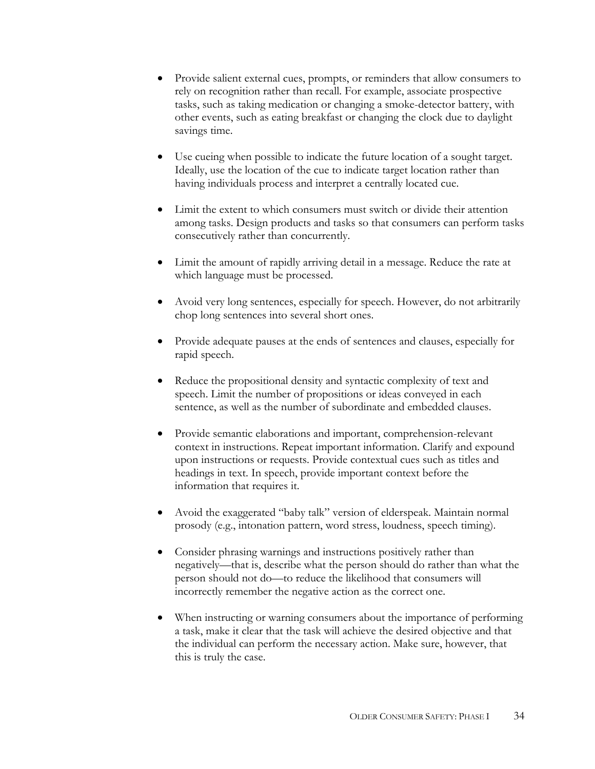- Provide salient external cues, prompts, or reminders that allow consumers to rely on recognition rather than recall. For example, associate prospective tasks, such as taking medication or changing a smoke-detector battery, with other events, such as eating breakfast or changing the clock due to daylight savings time.
- Use cueing when possible to indicate the future location of a sought target. Ideally, use the location of the cue to indicate target location rather than having individuals process and interpret a centrally located cue.
- Limit the extent to which consumers must switch or divide their attention among tasks. Design products and tasks so that consumers can perform tasks consecutively rather than concurrently.
- Limit the amount of rapidly arriving detail in a message. Reduce the rate at which language must be processed.
- Avoid very long sentences, especially for speech. However, do not arbitrarily chop long sentences into several short ones.
- Provide adequate pauses at the ends of sentences and clauses, especially for rapid speech.
- Reduce the propositional density and syntactic complexity of text and speech. Limit the number of propositions or ideas conveyed in each sentence, as well as the number of subordinate and embedded clauses.
- Provide semantic elaborations and important, comprehension-relevant context in instructions. Repeat important information. Clarify and expound upon instructions or requests. Provide contextual cues such as titles and headings in text. In speech, provide important context before the information that requires it.
- Avoid the exaggerated "baby talk" version of elderspeak. Maintain normal prosody (e.g., intonation pattern, word stress, loudness, speech timing).
- Consider phrasing warnings and instructions positively rather than negatively—that is, describe what the person should do rather than what the person should not do—to reduce the likelihood that consumers will incorrectly remember the negative action as the correct one.
- When instructing or warning consumers about the importance of performing a task, make it clear that the task will achieve the desired objective and that the individual can perform the necessary action. Make sure, however, that this is truly the case.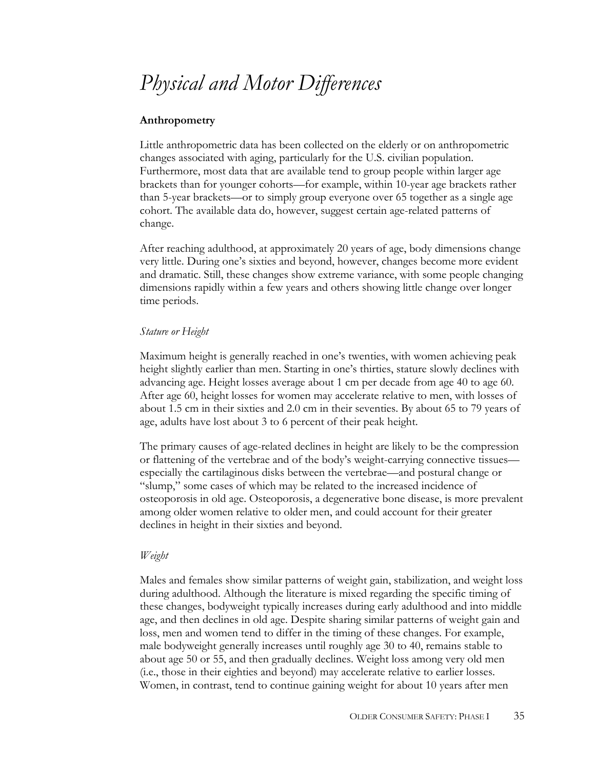## *Physical and Motor Differences*

## **Anthropometry**

Little anthropometric data has been collected on the elderly or on anthropometric changes associated with aging, particularly for the U.S. civilian population. Furthermore, most data that are available tend to group people within larger age brackets than for younger cohorts—for example, within 10-year age brackets rather than 5-year brackets—or to simply group everyone over 65 together as a single age cohort. The available data do, however, suggest certain age-related patterns of change.

After reaching adulthood, at approximately 20 years of age, body dimensions change very little. During one's sixties and beyond, however, changes become more evident and dramatic. Still, these changes show extreme variance, with some people changing dimensions rapidly within a few years and others showing little change over longer time periods.

#### *Stature or Height*

Maximum height is generally reached in one's twenties, with women achieving peak height slightly earlier than men. Starting in one's thirties, stature slowly declines with advancing age. Height losses average about 1 cm per decade from age 40 to age 60. After age 60, height losses for women may accelerate relative to men, with losses of about 1.5 cm in their sixties and 2.0 cm in their seventies. By about 65 to 79 years of age, adults have lost about 3 to 6 percent of their peak height.

The primary causes of age-related declines in height are likely to be the compression or flattening of the vertebrae and of the body's weight-carrying connective tissues especially the cartilaginous disks between the vertebrae—and postural change or "slump," some cases of which may be related to the increased incidence of osteoporosis in old age. Osteoporosis, a degenerative bone disease, is more prevalent among older women relative to older men, and could account for their greater declines in height in their sixties and beyond.

#### *Weight*

Males and females show similar patterns of weight gain, stabilization, and weight loss during adulthood. Although the literature is mixed regarding the specific timing of these changes, bodyweight typically increases during early adulthood and into middle age, and then declines in old age. Despite sharing similar patterns of weight gain and loss, men and women tend to differ in the timing of these changes. For example, male bodyweight generally increases until roughly age 30 to 40, remains stable to about age 50 or 55, and then gradually declines. Weight loss among very old men (i.e., those in their eighties and beyond) may accelerate relative to earlier losses. Women, in contrast, tend to continue gaining weight for about 10 years after men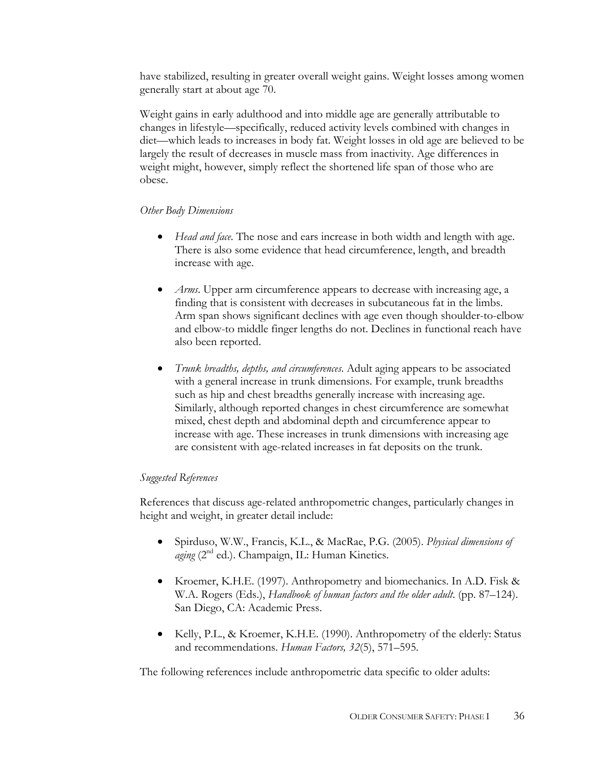have stabilized, resulting in greater overall weight gains. Weight losses among women generally start at about age 70.

Weight gains in early adulthood and into middle age are generally attributable to changes in lifestyle—specifically, reduced activity levels combined with changes in diet—which leads to increases in body fat. Weight losses in old age are believed to be largely the result of decreases in muscle mass from inactivity. Age differences in weight might, however, simply reflect the shortened life span of those who are obese.

## *Other Body Dimensions*

- *Head and face*. The nose and ears increase in both width and length with age. There is also some evidence that head circumference, length, and breadth increase with age.
- *Arms*. Upper arm circumference appears to decrease with increasing age, a finding that is consistent with decreases in subcutaneous fat in the limbs. Arm span shows significant declines with age even though shoulder-to-elbow and elbow-to middle finger lengths do not. Declines in functional reach have also been reported.
- *Trunk breadths, depths, and circumferences*. Adult aging appears to be associated with a general increase in trunk dimensions. For example, trunk breadths such as hip and chest breadths generally increase with increasing age. Similarly, although reported changes in chest circumference are somewhat mixed, chest depth and abdominal depth and circumference appear to increase with age. These increases in trunk dimensions with increasing age are consistent with age-related increases in fat deposits on the trunk.

## *Suggested References*

References that discuss age-related anthropometric changes, particularly changes in height and weight, in greater detail include:

- Spirduso, W.W., Francis, K.L., & MacRae, P.G. (2005). *Physical dimensions of*  aging (2<sup>nd</sup> ed.). Champaign, IL: Human Kinetics.
- Kroemer, K.H.E. (1997). Anthropometry and biomechanics. In A.D. Fisk & W.A. Rogers (Eds.), *Handbook of human factors and the older adult*. (pp. 87–124). San Diego, CA: Academic Press.
- Kelly, P.L., & Kroemer, K.H.E. (1990). Anthropometry of the elderly: Status and recommendations. *Human Factors, 32*(5), 571–595.

The following references include anthropometric data specific to older adults: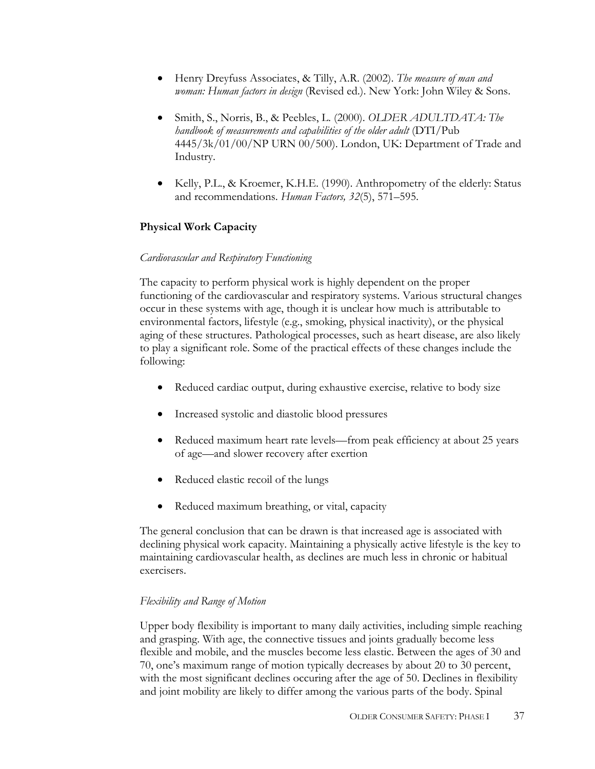- Henry Dreyfuss Associates, & Tilly, A.R. (2002). *The measure of man and woman: Human factors in design* (Revised ed.). New York: John Wiley & Sons.
- Smith, S., Norris, B., & Peebles, L. (2000). *OLDER ADULTDATA: The handbook of measurements and capabilities of the older adult* (DTI/Pub 4445/3k/01/00/NP URN 00/500). London, UK: Department of Trade and Industry.
- Kelly, P.L., & Kroemer, K.H.E. (1990). Anthropometry of the elderly: Status and recommendations. *Human Factors, 32*(5), 571–595.

## **Physical Work Capacity**

## *Cardiovascular and Respiratory Functioning*

The capacity to perform physical work is highly dependent on the proper functioning of the cardiovascular and respiratory systems. Various structural changes occur in these systems with age, though it is unclear how much is attributable to environmental factors, lifestyle (e.g., smoking, physical inactivity), or the physical aging of these structures. Pathological processes, such as heart disease, are also likely to play a significant role. Some of the practical effects of these changes include the following:

- Reduced cardiac output, during exhaustive exercise, relative to body size
- Increased systolic and diastolic blood pressures
- Reduced maximum heart rate levels—from peak efficiency at about 25 years of age—and slower recovery after exertion
- Reduced elastic recoil of the lungs
- Reduced maximum breathing, or vital, capacity

The general conclusion that can be drawn is that increased age is associated with declining physical work capacity. Maintaining a physically active lifestyle is the key to maintaining cardiovascular health, as declines are much less in chronic or habitual exercisers.

## *Flexibility and Range of Motion*

Upper body flexibility is important to many daily activities, including simple reaching and grasping. With age, the connective tissues and joints gradually become less flexible and mobile, and the muscles become less elastic. Between the ages of 30 and 70, one's maximum range of motion typically decreases by about 20 to 30 percent, with the most significant declines occuring after the age of 50. Declines in flexibility and joint mobility are likely to differ among the various parts of the body. Spinal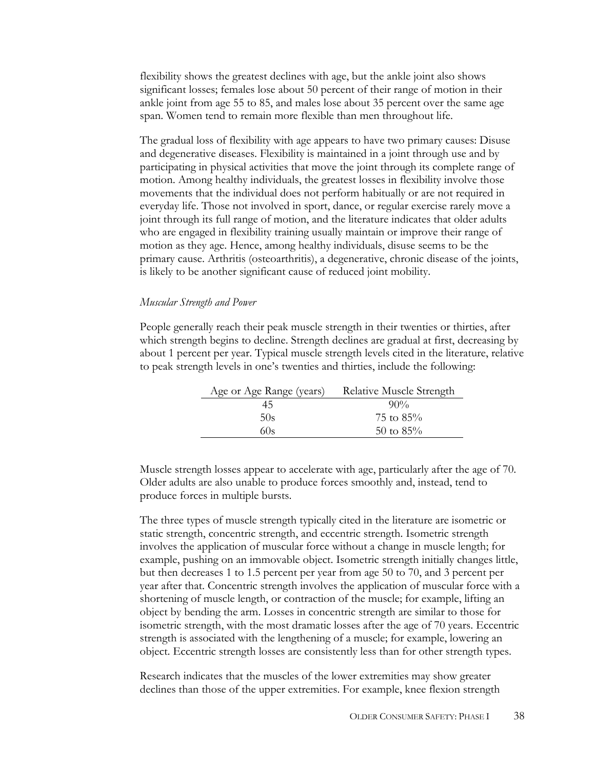flexibility shows the greatest declines with age, but the ankle joint also shows significant losses; females lose about 50 percent of their range of motion in their ankle joint from age 55 to 85, and males lose about 35 percent over the same age span. Women tend to remain more flexible than men throughout life.

The gradual loss of flexibility with age appears to have two primary causes: Disuse and degenerative diseases. Flexibility is maintained in a joint through use and by participating in physical activities that move the joint through its complete range of motion. Among healthy individuals, the greatest losses in flexibility involve those movements that the individual does not perform habitually or are not required in everyday life. Those not involved in sport, dance, or regular exercise rarely move a joint through its full range of motion, and the literature indicates that older adults who are engaged in flexibility training usually maintain or improve their range of motion as they age. Hence, among healthy individuals, disuse seems to be the primary cause. Arthritis (osteoarthritis), a degenerative, chronic disease of the joints, is likely to be another significant cause of reduced joint mobility.

#### *Muscular Strength and Power*

People generally reach their peak muscle strength in their twenties or thirties, after which strength begins to decline. Strength declines are gradual at first, decreasing by about 1 percent per year. Typical muscle strength levels cited in the literature, relative to peak strength levels in one's twenties and thirties, include the following:

| Age or Age Range (years) | Relative Muscle Strength |
|--------------------------|--------------------------|
| 45                       | $90\%$                   |
| 50s                      | 75 to $85%$              |
| 60s                      | 50 to $85\%$             |

Muscle strength losses appear to accelerate with age, particularly after the age of 70. Older adults are also unable to produce forces smoothly and, instead, tend to produce forces in multiple bursts.

The three types of muscle strength typically cited in the literature are isometric or static strength, concentric strength, and eccentric strength. Isometric strength involves the application of muscular force without a change in muscle length; for example, pushing on an immovable object. Isometric strength initially changes little, but then decreases 1 to 1.5 percent per year from age 50 to 70, and 3 percent per year after that. Concentric strength involves the application of muscular force with a shortening of muscle length, or contraction of the muscle; for example, lifting an object by bending the arm. Losses in concentric strength are similar to those for isometric strength, with the most dramatic losses after the age of 70 years. Eccentric strength is associated with the lengthening of a muscle; for example, lowering an object. Eccentric strength losses are consistently less than for other strength types.

Research indicates that the muscles of the lower extremities may show greater declines than those of the upper extremities. For example, knee flexion strength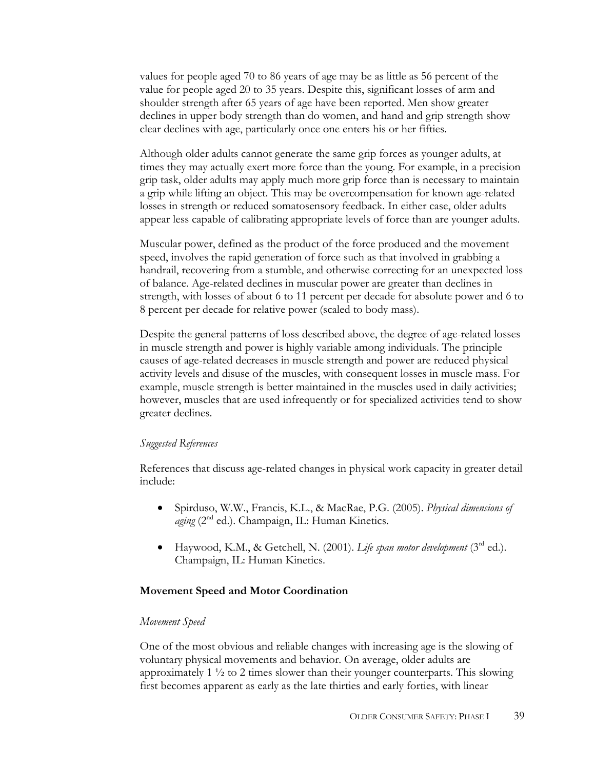values for people aged 70 to 86 years of age may be as little as 56 percent of the value for people aged 20 to 35 years. Despite this, significant losses of arm and shoulder strength after 65 years of age have been reported. Men show greater declines in upper body strength than do women, and hand and grip strength show clear declines with age, particularly once one enters his or her fifties.

Although older adults cannot generate the same grip forces as younger adults, at times they may actually exert more force than the young. For example, in a precision grip task, older adults may apply much more grip force than is necessary to maintain a grip while lifting an object. This may be overcompensation for known age-related losses in strength or reduced somatosensory feedback. In either case, older adults appear less capable of calibrating appropriate levels of force than are younger adults.

Muscular power, defined as the product of the force produced and the movement speed, involves the rapid generation of force such as that involved in grabbing a handrail, recovering from a stumble, and otherwise correcting for an unexpected loss of balance. Age-related declines in muscular power are greater than declines in strength, with losses of about 6 to 11 percent per decade for absolute power and 6 to 8 percent per decade for relative power (scaled to body mass).

Despite the general patterns of loss described above, the degree of age-related losses in muscle strength and power is highly variable among individuals. The principle causes of age-related decreases in muscle strength and power are reduced physical activity levels and disuse of the muscles, with consequent losses in muscle mass. For example, muscle strength is better maintained in the muscles used in daily activities; however, muscles that are used infrequently or for specialized activities tend to show greater declines.

#### *Suggested References*

References that discuss age-related changes in physical work capacity in greater detail include:

- Spirduso, W.W., Francis, K.L., & MacRae, P.G. (2005). *Physical dimensions of aging* (2<sup>nd</sup> ed.). Champaign, IL: Human Kinetics.
- Haywood, K.M., & Getchell, N. (2001). *Life span motor development* (3rd ed.). Champaign, IL: Human Kinetics.

## **Movement Speed and Motor Coordination**

#### *Movement Speed*

One of the most obvious and reliable changes with increasing age is the slowing of voluntary physical movements and behavior. On average, older adults are approximately 1 ½ to 2 times slower than their younger counterparts. This slowing first becomes apparent as early as the late thirties and early forties, with linear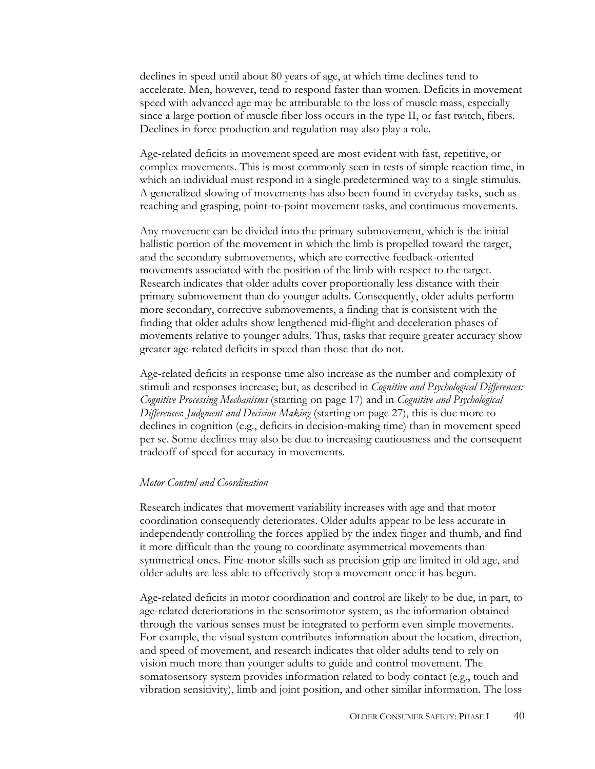declines in speed until about 80 years of age, at which time declines tend to accelerate. Men, however, tend to respond faster than women. Deficits in movement speed with advanced age may be attributable to the loss of muscle mass, especially since a large portion of muscle fiber loss occurs in the type II, or fast twitch, fibers. Declines in force production and regulation may also play a role.

Age-related deficits in movement speed are most evident with fast, repetitive, or complex movements. This is most commonly seen in tests of simple reaction time, in which an individual must respond in a single predetermined way to a single stimulus. A generalized slowing of movements has also been found in everyday tasks, such as reaching and grasping, point-to-point movement tasks, and continuous movements.

Any movement can be divided into the primary submovement, which is the initial ballistic portion of the movement in which the limb is propelled toward the target, and the secondary submovements, which are corrective feedback-oriented movements associated with the position of the limb with respect to the target. Research indicates that older adults cover proportionally less distance with their primary submovement than do younger adults. Consequently, older adults perform more secondary, corrective submovements, a finding that is consistent with the finding that older adults show lengthened mid-flight and deceleration phases of movements relative to younger adults. Thus, tasks that require greater accuracy show greater age-related deficits in speed than those that do not.

Age-related deficits in response time also increase as the number and complexity of stimuli and responses increase; but, as described in *Cognitive and Psychological Differences: Cognitive Processing Mechanisms* (starting on page 17) and in *Cognitive and Psychological Differences*: *Judgment and Decision Making* (starting on page 27), this is due more to declines in cognition (e.g., deficits in decision-making time) than in movement speed per se. Some declines may also be due to increasing cautiousness and the consequent tradeoff of speed for accuracy in movements.

#### *Motor Control and Coordination*

Research indicates that movement variability increases with age and that motor coordination consequently deteriorates. Older adults appear to be less accurate in independently controlling the forces applied by the index finger and thumb, and find it more difficult than the young to coordinate asymmetrical movements than symmetrical ones. Fine-motor skills such as precision grip are limited in old age, and older adults are less able to effectively stop a movement once it has begun.

Age-related deficits in motor coordination and control are likely to be due, in part, to age-related deteriorations in the sensorimotor system, as the information obtained through the various senses must be integrated to perform even simple movements. For example, the visual system contributes information about the location, direction, and speed of movement, and research indicates that older adults tend to rely on vision much more than younger adults to guide and control movement. The somatosensory system provides information related to body contact (e.g., touch and vibration sensitivity), limb and joint position, and other similar information. The loss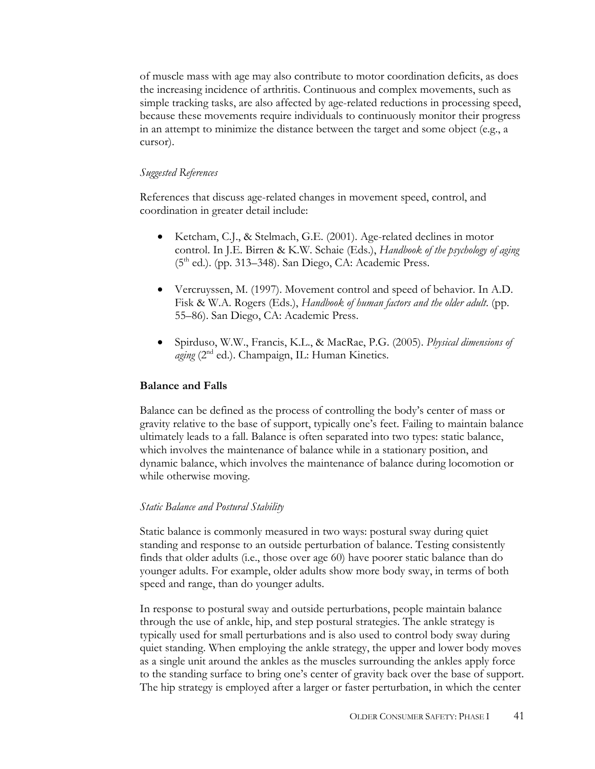of muscle mass with age may also contribute to motor coordination deficits, as does the increasing incidence of arthritis. Continuous and complex movements, such as simple tracking tasks, are also affected by age-related reductions in processing speed, because these movements require individuals to continuously monitor their progress in an attempt to minimize the distance between the target and some object (e.g., a cursor).

## *Suggested References*

References that discuss age-related changes in movement speed, control, and coordination in greater detail include:

- Ketcham, C.J., & Stelmach, G.E. (2001). Age-related declines in motor control. In J.E. Birren & K.W. Schaie (Eds.), *Handbook of the psychology of aging*  $(5<sup>th</sup>$  ed.). (pp. 313–348). San Diego, CA: Academic Press.
- Vercruyssen, M. (1997). Movement control and speed of behavior. In A.D. Fisk & W.A. Rogers (Eds.), *Handbook of human factors and the older adult*. (pp. 55–86). San Diego, CA: Academic Press.
- Spirduso, W.W., Francis, K.L., & MacRae, P.G. (2005). *Physical dimensions of*  aging (2<sup>nd</sup> ed.). Champaign, IL: Human Kinetics.

## **Balance and Falls**

Balance can be defined as the process of controlling the body's center of mass or gravity relative to the base of support, typically one's feet. Failing to maintain balance ultimately leads to a fall. Balance is often separated into two types: static balance, which involves the maintenance of balance while in a stationary position, and dynamic balance, which involves the maintenance of balance during locomotion or while otherwise moving.

## *Static Balance and Postural Stability*

Static balance is commonly measured in two ways: postural sway during quiet standing and response to an outside perturbation of balance. Testing consistently finds that older adults (i.e., those over age 60) have poorer static balance than do younger adults. For example, older adults show more body sway, in terms of both speed and range, than do younger adults.

In response to postural sway and outside perturbations, people maintain balance through the use of ankle, hip, and step postural strategies. The ankle strategy is typically used for small perturbations and is also used to control body sway during quiet standing. When employing the ankle strategy, the upper and lower body moves as a single unit around the ankles as the muscles surrounding the ankles apply force to the standing surface to bring one's center of gravity back over the base of support. The hip strategy is employed after a larger or faster perturbation, in which the center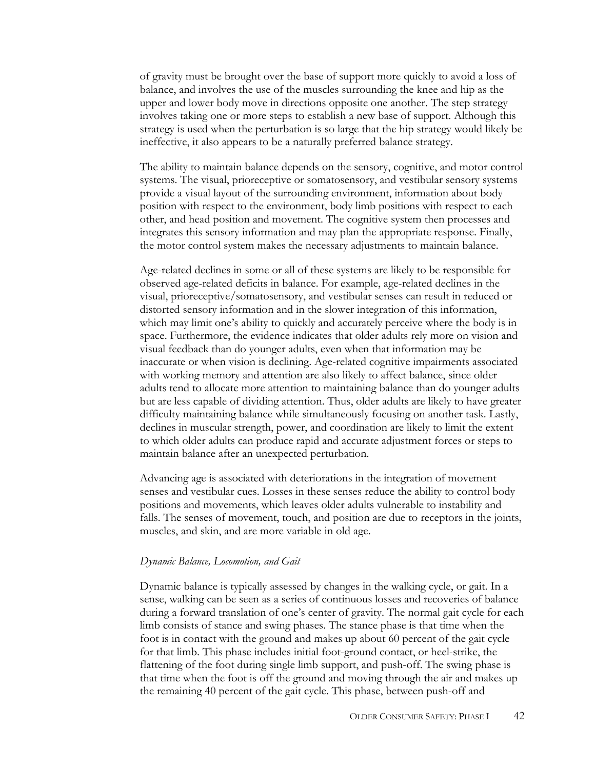of gravity must be brought over the base of support more quickly to avoid a loss of balance, and involves the use of the muscles surrounding the knee and hip as the upper and lower body move in directions opposite one another. The step strategy involves taking one or more steps to establish a new base of support. Although this strategy is used when the perturbation is so large that the hip strategy would likely be ineffective, it also appears to be a naturally preferred balance strategy.

The ability to maintain balance depends on the sensory, cognitive, and motor control systems. The visual, prioreceptive or somatosensory, and vestibular sensory systems provide a visual layout of the surrounding environment, information about body position with respect to the environment, body limb positions with respect to each other, and head position and movement. The cognitive system then processes and integrates this sensory information and may plan the appropriate response. Finally, the motor control system makes the necessary adjustments to maintain balance.

Age-related declines in some or all of these systems are likely to be responsible for observed age-related deficits in balance. For example, age-related declines in the visual, prioreceptive/somatosensory, and vestibular senses can result in reduced or distorted sensory information and in the slower integration of this information, which may limit one's ability to quickly and accurately perceive where the body is in space. Furthermore, the evidence indicates that older adults rely more on vision and visual feedback than do younger adults, even when that information may be inaccurate or when vision is declining. Age-related cognitive impairments associated with working memory and attention are also likely to affect balance, since older adults tend to allocate more attention to maintaining balance than do younger adults but are less capable of dividing attention. Thus, older adults are likely to have greater difficulty maintaining balance while simultaneously focusing on another task. Lastly, declines in muscular strength, power, and coordination are likely to limit the extent to which older adults can produce rapid and accurate adjustment forces or steps to maintain balance after an unexpected perturbation.

Advancing age is associated with deteriorations in the integration of movement senses and vestibular cues. Losses in these senses reduce the ability to control body positions and movements, which leaves older adults vulnerable to instability and falls. The senses of movement, touch, and position are due to receptors in the joints, muscles, and skin, and are more variable in old age.

#### *Dynamic Balance, Locomotion, and Gait*

Dynamic balance is typically assessed by changes in the walking cycle, or gait. In a sense, walking can be seen as a series of continuous losses and recoveries of balance during a forward translation of one's center of gravity. The normal gait cycle for each limb consists of stance and swing phases. The stance phase is that time when the foot is in contact with the ground and makes up about 60 percent of the gait cycle for that limb. This phase includes initial foot-ground contact, or heel-strike, the flattening of the foot during single limb support, and push-off. The swing phase is that time when the foot is off the ground and moving through the air and makes up the remaining 40 percent of the gait cycle. This phase, between push-off and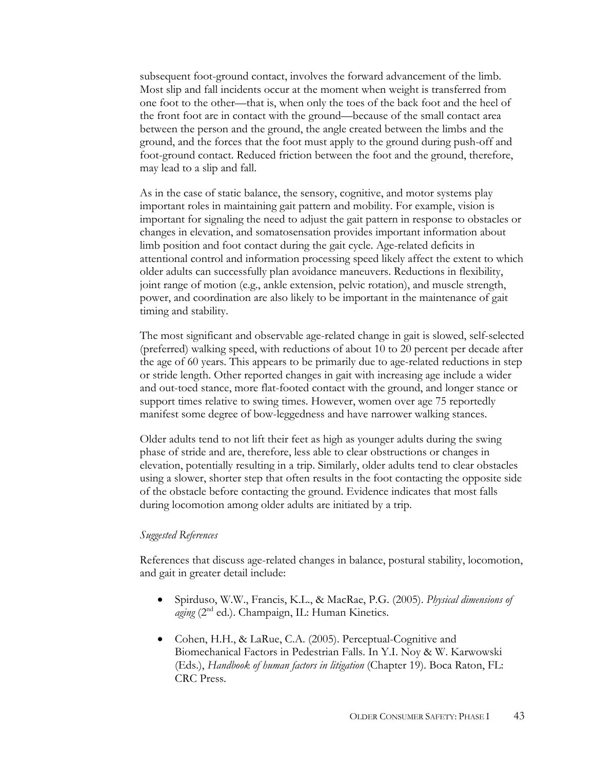subsequent foot-ground contact, involves the forward advancement of the limb. Most slip and fall incidents occur at the moment when weight is transferred from one foot to the other—that is, when only the toes of the back foot and the heel of the front foot are in contact with the ground—because of the small contact area between the person and the ground, the angle created between the limbs and the ground, and the forces that the foot must apply to the ground during push-off and foot-ground contact. Reduced friction between the foot and the ground, therefore, may lead to a slip and fall.

As in the case of static balance, the sensory, cognitive, and motor systems play important roles in maintaining gait pattern and mobility. For example, vision is important for signaling the need to adjust the gait pattern in response to obstacles or changes in elevation, and somatosensation provides important information about limb position and foot contact during the gait cycle. Age-related deficits in attentional control and information processing speed likely affect the extent to which older adults can successfully plan avoidance maneuvers. Reductions in flexibility, joint range of motion (e.g., ankle extension, pelvic rotation), and muscle strength, power, and coordination are also likely to be important in the maintenance of gait timing and stability.

The most significant and observable age-related change in gait is slowed, self-selected (preferred) walking speed, with reductions of about 10 to 20 percent per decade after the age of 60 years. This appears to be primarily due to age-related reductions in step or stride length. Other reported changes in gait with increasing age include a wider and out-toed stance, more flat-footed contact with the ground, and longer stance or support times relative to swing times. However, women over age 75 reportedly manifest some degree of bow-leggedness and have narrower walking stances.

Older adults tend to not lift their feet as high as younger adults during the swing phase of stride and are, therefore, less able to clear obstructions or changes in elevation, potentially resulting in a trip. Similarly, older adults tend to clear obstacles using a slower, shorter step that often results in the foot contacting the opposite side of the obstacle before contacting the ground. Evidence indicates that most falls during locomotion among older adults are initiated by a trip.

#### *Suggested References*

References that discuss age-related changes in balance, postural stability, locomotion, and gait in greater detail include:

- Spirduso, W.W., Francis, K.L., & MacRae, P.G. (2005). *Physical dimensions of*  aging (2<sup>nd</sup> ed.). Champaign, IL: Human Kinetics.
- Cohen, H.H., & LaRue, C.A. (2005). Perceptual-Cognitive and Biomechanical Factors in Pedestrian Falls. In Y.I. Noy & W. Karwowski (Eds.), *Handbook of human factors in litigation* (Chapter 19). Boca Raton, FL: CRC Press.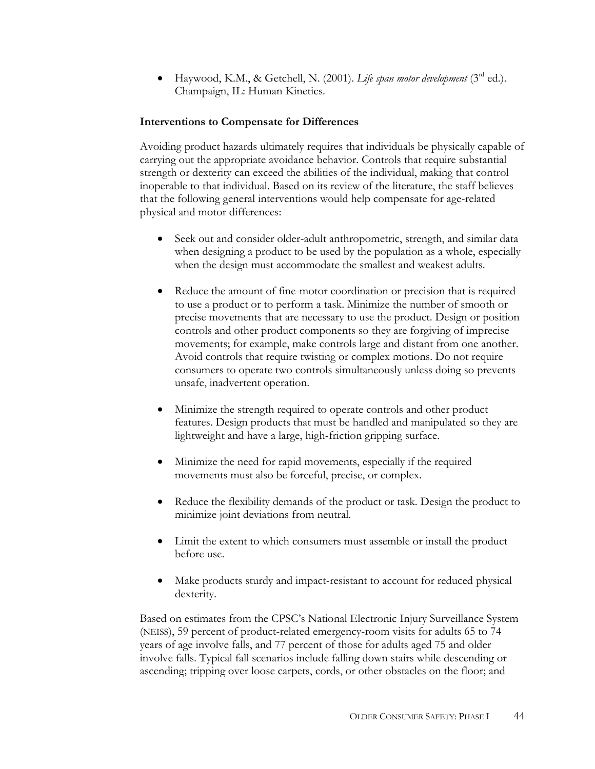• Haywood, K.M., & Getchell, N. (2001). *Life span motor development* (3rd ed.). Champaign, IL: Human Kinetics.

## **Interventions to Compensate for Differences**

Avoiding product hazards ultimately requires that individuals be physically capable of carrying out the appropriate avoidance behavior. Controls that require substantial strength or dexterity can exceed the abilities of the individual, making that control inoperable to that individual. Based on its review of the literature, the staff believes that the following general interventions would help compensate for age-related physical and motor differences:

- Seek out and consider older-adult anthropometric, strength, and similar data when designing a product to be used by the population as a whole, especially when the design must accommodate the smallest and weakest adults.
- Reduce the amount of fine-motor coordination or precision that is required to use a product or to perform a task. Minimize the number of smooth or precise movements that are necessary to use the product. Design or position controls and other product components so they are forgiving of imprecise movements; for example, make controls large and distant from one another. Avoid controls that require twisting or complex motions. Do not require consumers to operate two controls simultaneously unless doing so prevents unsafe, inadvertent operation.
- Minimize the strength required to operate controls and other product features. Design products that must be handled and manipulated so they are lightweight and have a large, high-friction gripping surface.
- Minimize the need for rapid movements, especially if the required movements must also be forceful, precise, or complex.
- Reduce the flexibility demands of the product or task. Design the product to minimize joint deviations from neutral.
- Limit the extent to which consumers must assemble or install the product before use.
- Make products sturdy and impact-resistant to account for reduced physical dexterity.

Based on estimates from the CPSC's National Electronic Injury Surveillance System (NEISS), 59 percent of product-related emergency-room visits for adults 65 to 74 years of age involve falls, and 77 percent of those for adults aged 75 and older involve falls. Typical fall scenarios include falling down stairs while descending or ascending; tripping over loose carpets, cords, or other obstacles on the floor; and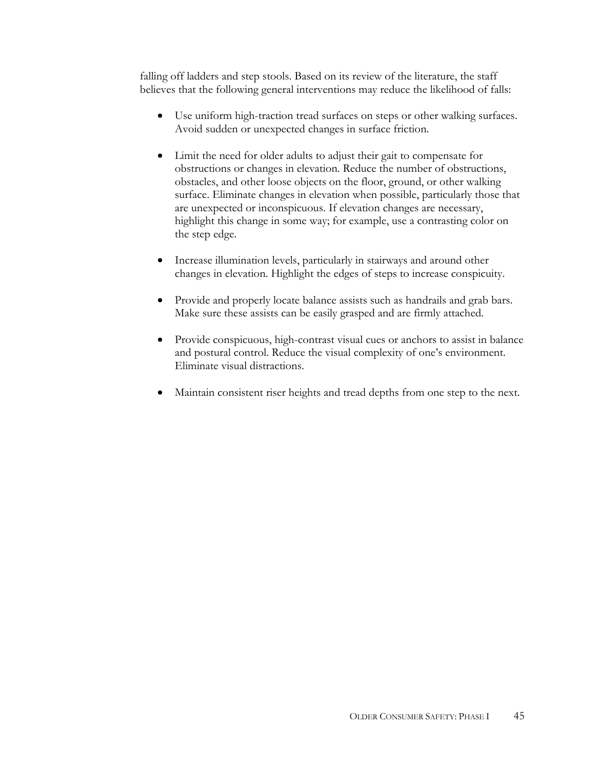falling off ladders and step stools. Based on its review of the literature, the staff believes that the following general interventions may reduce the likelihood of falls:

- Use uniform high-traction tread surfaces on steps or other walking surfaces. Avoid sudden or unexpected changes in surface friction.
- Limit the need for older adults to adjust their gait to compensate for obstructions or changes in elevation. Reduce the number of obstructions, obstacles, and other loose objects on the floor, ground, or other walking surface. Eliminate changes in elevation when possible, particularly those that are unexpected or inconspicuous. If elevation changes are necessary, highlight this change in some way; for example, use a contrasting color on the step edge.
- Increase illumination levels, particularly in stairways and around other changes in elevation. Highlight the edges of steps to increase conspicuity.
- Provide and properly locate balance assists such as handrails and grab bars. Make sure these assists can be easily grasped and are firmly attached.
- Provide conspicuous, high-contrast visual cues or anchors to assist in balance and postural control. Reduce the visual complexity of one's environment. Eliminate visual distractions.
- Maintain consistent riser heights and tread depths from one step to the next.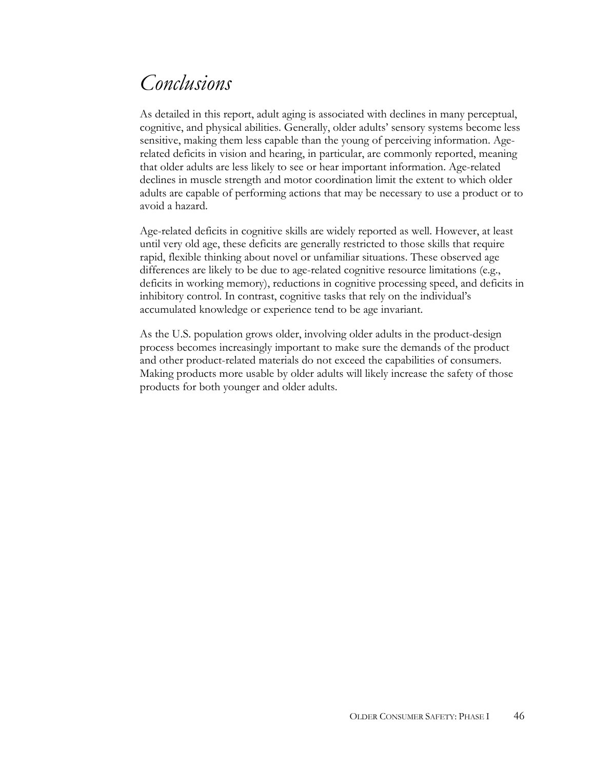## *Conclusions*

As detailed in this report, adult aging is associated with declines in many perceptual, cognitive, and physical abilities. Generally, older adults' sensory systems become less sensitive, making them less capable than the young of perceiving information. Agerelated deficits in vision and hearing, in particular, are commonly reported, meaning that older adults are less likely to see or hear important information. Age-related declines in muscle strength and motor coordination limit the extent to which older adults are capable of performing actions that may be necessary to use a product or to avoid a hazard.

Age-related deficits in cognitive skills are widely reported as well. However, at least until very old age, these deficits are generally restricted to those skills that require rapid, flexible thinking about novel or unfamiliar situations. These observed age differences are likely to be due to age-related cognitive resource limitations (e.g., deficits in working memory), reductions in cognitive processing speed, and deficits in inhibitory control. In contrast, cognitive tasks that rely on the individual's accumulated knowledge or experience tend to be age invariant.

As the U.S. population grows older, involving older adults in the product-design process becomes increasingly important to make sure the demands of the product and other product-related materials do not exceed the capabilities of consumers. Making products more usable by older adults will likely increase the safety of those products for both younger and older adults.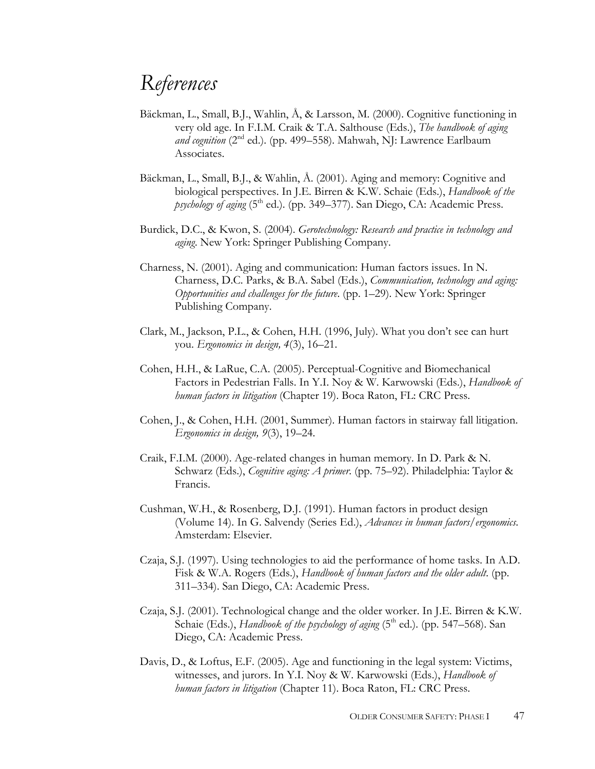## *References*

- Bäckman, L., Small, B.J., Wahlin, Å, & Larsson, M. (2000). Cognitive functioning in very old age. In F.I.M. Craik & T.A. Salthouse (Eds.), *The handbook of aging*  and cognition (2<sup>nd</sup> ed.). (pp. 499–558). Mahwah, NJ: Lawrence Earlbaum Associates.
- Bäckman, L., Small, B.J., & Wahlin, Å. (2001). Aging and memory: Cognitive and biological perspectives. In J.E. Birren & K.W. Schaie (Eds.), *Handbook of the psychology of aging* (5<sup>th</sup> ed.). (pp. 349–377). San Diego, CA: Academic Press.
- Burdick, D.C., & Kwon, S. (2004). *Gerotechnology: Research and practice in technology and aging*. New York: Springer Publishing Company.
- Charness, N. (2001). Aging and communication: Human factors issues. In N. Charness, D.C. Parks, & B.A. Sabel (Eds.), *Communication, technology and aging: Opportunities and challenges for the future*. (pp. 1–29). New York: Springer Publishing Company.
- Clark, M., Jackson, P.L., & Cohen, H.H. (1996, July). What you don't see can hurt you. *Ergonomics in design, 4*(3), 16–21.
- Cohen, H.H., & LaRue, C.A. (2005). Perceptual-Cognitive and Biomechanical Factors in Pedestrian Falls. In Y.I. Noy & W. Karwowski (Eds.), *Handbook of human factors in litigation* (Chapter 19). Boca Raton, FL: CRC Press.
- Cohen, J., & Cohen, H.H. (2001, Summer). Human factors in stairway fall litigation. *Ergonomics in design, 9*(3), 19–24.
- Craik, F.I.M. (2000). Age-related changes in human memory. In D. Park & N. Schwarz (Eds.), *Cognitive aging: A primer*. (pp. 75–92). Philadelphia: Taylor & Francis.
- Cushman, W.H., & Rosenberg, D.J. (1991). Human factors in product design (Volume 14). In G. Salvendy (Series Ed.), *Advances in human factors/ergonomics*. Amsterdam: Elsevier.
- Czaja, S.J. (1997). Using technologies to aid the performance of home tasks. In A.D. Fisk & W.A. Rogers (Eds.), *Handbook of human factors and the older adult*. (pp. 311–334). San Diego, CA: Academic Press.
- Czaja, S.J. (2001). Technological change and the older worker. In J.E. Birren & K.W. Schaie (Eds.), *Handbook of the psychology of aging* (5<sup>th</sup> ed.). (pp. 547–568). San Diego, CA: Academic Press.
- Davis, D., & Loftus, E.F. (2005). Age and functioning in the legal system: Victims, witnesses, and jurors. In Y.I. Noy & W. Karwowski (Eds.), *Handbook of human factors in litigation* (Chapter 11). Boca Raton, FL: CRC Press.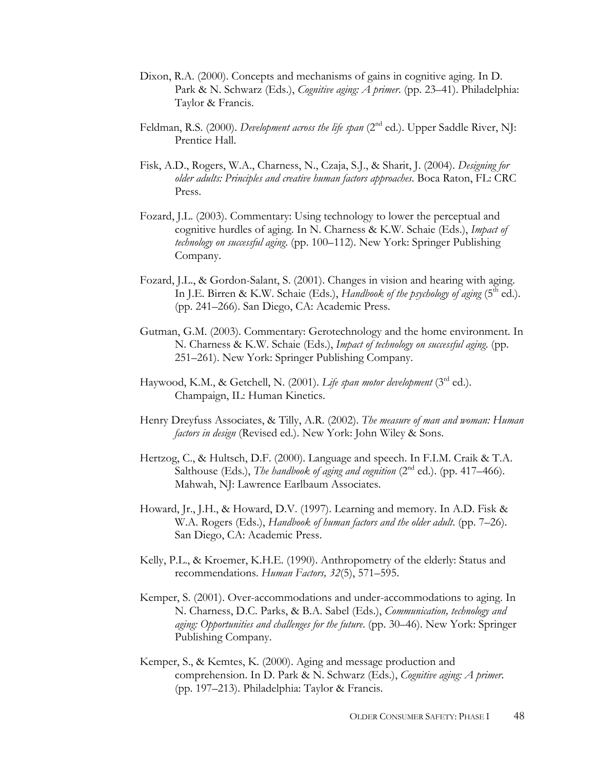- Dixon, R.A. (2000). Concepts and mechanisms of gains in cognitive aging. In D. Park & N. Schwarz (Eds.), *Cognitive aging: A primer*. (pp. 23–41). Philadelphia: Taylor & Francis.
- Feldman, R.S. (2000). *Development across the life span* (2<sup>nd</sup> ed.). Upper Saddle River, NJ: Prentice Hall.
- Fisk, A.D., Rogers, W.A., Charness, N., Czaja, S.J., & Sharit, J. (2004). *Designing for older adults: Principles and creative human factors approaches*. Boca Raton, FL: CRC Press.
- Fozard, J.L. (2003). Commentary: Using technology to lower the perceptual and cognitive hurdles of aging. In N. Charness & K.W. Schaie (Eds.), *Impact of technology on successful aging*. (pp. 100–112). New York: Springer Publishing Company.
- Fozard, J.L., & Gordon-Salant, S. (2001). Changes in vision and hearing with aging. In J.E. Birren & K.W. Schaie (Eds.), *Handbook of the psychology of aging* (5<sup>th</sup> ed.). (pp. 241–266). San Diego, CA: Academic Press.
- Gutman, G.M. (2003). Commentary: Gerotechnology and the home environment. In N. Charness & K.W. Schaie (Eds.), *Impact of technology on successful aging*. (pp. 251–261). New York: Springer Publishing Company.
- Haywood, K.M., & Getchell, N. (2001). *Life span motor development* (3<sup>rd</sup> ed.). Champaign, IL: Human Kinetics.
- Henry Dreyfuss Associates, & Tilly, A.R. (2002). *The measure of man and woman: Human factors in design* (Revised ed.). New York: John Wiley & Sons.
- Hertzog, C., & Hultsch, D.F. (2000). Language and speech. In F.I.M. Craik & T.A. Salthouse (Eds.), *The handbook of aging and cognition* (2<sup>nd</sup> ed.). (pp. 417–466). Mahwah, NJ: Lawrence Earlbaum Associates.
- Howard, Jr., J.H., & Howard, D.V. (1997). Learning and memory. In A.D. Fisk & W.A. Rogers (Eds.), *Handbook of human factors and the older adult*. (pp. 7–26). San Diego, CA: Academic Press.
- Kelly, P.L., & Kroemer, K.H.E. (1990). Anthropometry of the elderly: Status and recommendations. *Human Factors, 32*(5), 571–595.
- Kemper, S. (2001). Over-accommodations and under-accommodations to aging. In N. Charness, D.C. Parks, & B.A. Sabel (Eds.), *Communication, technology and aging: Opportunities and challenges for the future*. (pp. 30–46). New York: Springer Publishing Company.
- Kemper, S., & Kemtes, K. (2000). Aging and message production and comprehension. In D. Park & N. Schwarz (Eds.), *Cognitive aging: A primer*. (pp. 197–213). Philadelphia: Taylor & Francis.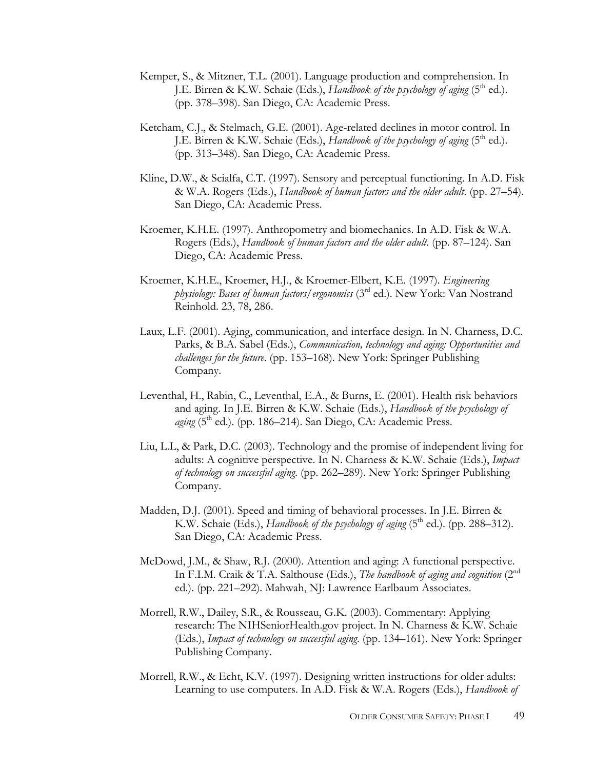- Kemper, S., & Mitzner, T.L. (2001). Language production and comprehension. In J.E. Birren & K.W. Schaie (Eds.), *Handbook of the psychology of aging* ( $5<sup>th</sup>$  ed.). (pp. 378–398). San Diego, CA: Academic Press.
- Ketcham, C.J., & Stelmach, G.E. (2001). Age-related declines in motor control. In J.E. Birren & K.W. Schaie (Eds.), *Handbook of the psychology of aging* (5<sup>th</sup> ed.). (pp. 313–348). San Diego, CA: Academic Press.
- Kline, D.W., & Scialfa, C.T. (1997). Sensory and perceptual functioning. In A.D. Fisk & W.A. Rogers (Eds.), *Handbook of human factors and the older adult*. (pp. 27–54). San Diego, CA: Academic Press.
- Kroemer, K.H.E. (1997). Anthropometry and biomechanics. In A.D. Fisk & W.A. Rogers (Eds.), *Handbook of human factors and the older adult*. (pp. 87–124). San Diego, CA: Academic Press.
- Kroemer, K.H.E., Kroemer, H.J., & Kroemer-Elbert, K.E. (1997). *Engineering physiology: Bases of human factors/ergonomics* (3rd ed.). New York: Van Nostrand Reinhold. 23, 78, 286.
- Laux, L.F. (2001). Aging, communication, and interface design. In N. Charness, D.C. Parks, & B.A. Sabel (Eds.), *Communication, technology and aging: Opportunities and challenges for the future*. (pp. 153–168). New York: Springer Publishing Company.
- Leventhal, H., Rabin, C., Leventhal, E.A., & Burns, E. (2001). Health risk behaviors and aging. In J.E. Birren & K.W. Schaie (Eds.), *Handbook of the psychology of aging* ( $5<sup>th</sup>$  ed.). (pp. 186–214). San Diego, CA: Academic Press.
- Liu, L.L, & Park, D.C. (2003). Technology and the promise of independent living for adults: A cognitive perspective. In N. Charness & K.W. Schaie (Eds.), *Impact of technology on successful aging*. (pp. 262–289). New York: Springer Publishing Company.
- Madden, D.J. (2001). Speed and timing of behavioral processes. In J.E. Birren & K.W. Schaie (Eds.), *Handbook of the psychology of aging* (5<sup>th</sup> ed.). (pp. 288–312). San Diego, CA: Academic Press.
- McDowd, J.M., & Shaw, R.J. (2000). Attention and aging: A functional perspective. In F.I.M. Craik & T.A. Salthouse (Eds.), *The handbook of aging and cognition* (2nd ed.). (pp. 221–292). Mahwah, NJ: Lawrence Earlbaum Associates.
- Morrell, R.W., Dailey, S.R., & Rousseau, G.K. (2003). Commentary: Applying research: The NIHSeniorHealth.gov project. In N. Charness & K.W. Schaie (Eds.), *Impact of technology on successful aging*. (pp. 134–161). New York: Springer Publishing Company.
- Morrell, R.W., & Echt, K.V. (1997). Designing written instructions for older adults: Learning to use computers. In A.D. Fisk & W.A. Rogers (Eds.), *Handbook of*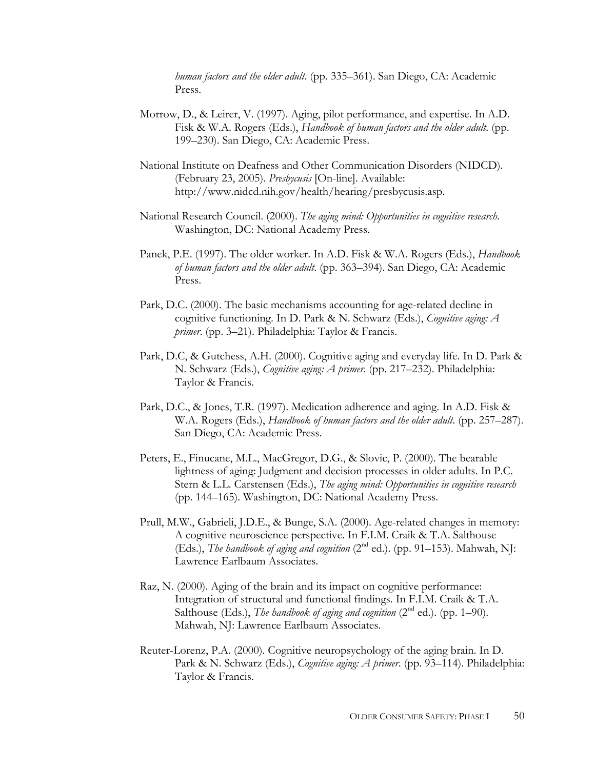*human factors and the older adult*. (pp. 335–361). San Diego, CA: Academic Press.

- Morrow, D., & Leirer, V. (1997). Aging, pilot performance, and expertise. In A.D. Fisk & W.A. Rogers (Eds.), *Handbook of human factors and the older adult*. (pp. 199–230). San Diego, CA: Academic Press.
- National Institute on Deafness and Other Communication Disorders (NIDCD). (February 23, 2005). *Presbycusis* [On-line]. Available: http://www.nidcd.nih.gov/health/hearing/presbycusis.asp.
- National Research Council. (2000). *The aging mind: Opportunities in cognitive research*. Washington, DC: National Academy Press.
- Panek, P.E. (1997). The older worker. In A.D. Fisk & W.A. Rogers (Eds.), *Handbook of human factors and the older adult*. (pp. 363–394). San Diego, CA: Academic Press.
- Park, D.C. (2000). The basic mechanisms accounting for age-related decline in cognitive functioning. In D. Park & N. Schwarz (Eds.), *Cognitive aging: A primer*. (pp. 3–21). Philadelphia: Taylor & Francis.
- Park, D.C, & Gutchess, A.H. (2000). Cognitive aging and everyday life. In D. Park & N. Schwarz (Eds.), *Cognitive aging: A primer*. (pp. 217–232). Philadelphia: Taylor & Francis.
- Park, D.C., & Jones, T.R. (1997). Medication adherence and aging. In A.D. Fisk & W.A. Rogers (Eds.), *Handbook of human factors and the older adult*. (pp. 257–287). San Diego, CA: Academic Press.
- Peters, E., Finucane, M.L., MacGregor, D.G., & Slovic, P. (2000). The bearable lightness of aging: Judgment and decision processes in older adults. In P.C. Stern & L.L. Carstensen (Eds.), *The aging mind: Opportunities in cognitive research* (pp. 144–165). Washington, DC: National Academy Press.
- Prull, M.W., Gabrieli, J.D.E., & Bunge, S.A. (2000). Age-related changes in memory: A cognitive neuroscience perspective. In F.I.M. Craik & T.A. Salthouse (Eds.), *The handbook of aging and cognition* (2nd ed.). (pp. 91–153). Mahwah, NJ: Lawrence Earlbaum Associates.
- Raz, N. (2000). Aging of the brain and its impact on cognitive performance: Integration of structural and functional findings. In F.I.M. Craik & T.A. Salthouse (Eds.), *The handbook of aging and cognition* (2<sup>nd</sup> ed.). (pp. 1–90). Mahwah, NJ: Lawrence Earlbaum Associates.
- Reuter-Lorenz, P.A. (2000). Cognitive neuropsychology of the aging brain. In D. Park & N. Schwarz (Eds.), *Cognitive aging: A primer*. (pp. 93–114). Philadelphia: Taylor & Francis.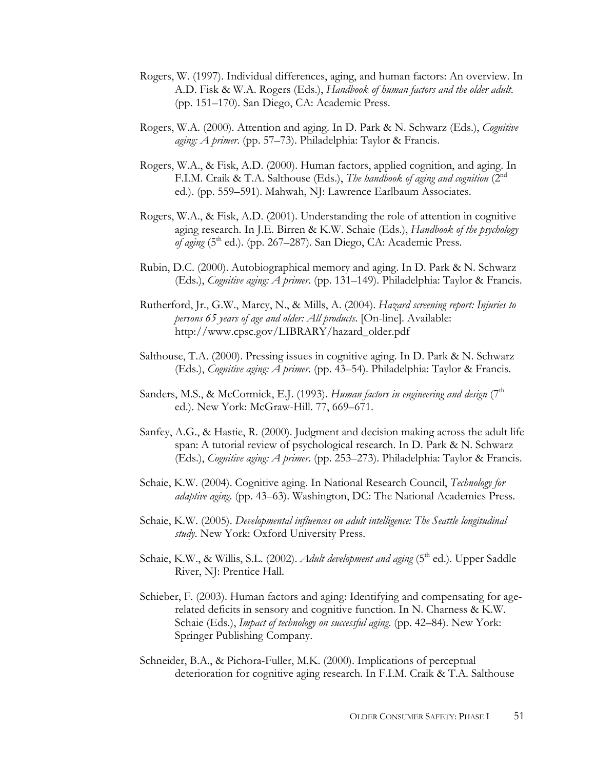- Rogers, W. (1997). Individual differences, aging, and human factors: An overview. In A.D. Fisk & W.A. Rogers (Eds.), *Handbook of human factors and the older adult*. (pp. 151–170). San Diego, CA: Academic Press.
- Rogers, W.A. (2000). Attention and aging. In D. Park & N. Schwarz (Eds.), *Cognitive aging: A primer*. (pp. 57–73). Philadelphia: Taylor & Francis.
- Rogers, W.A., & Fisk, A.D. (2000). Human factors, applied cognition, and aging. In F.I.M. Craik & T.A. Salthouse (Eds.), *The handbook of aging and cognition* (2nd ed.). (pp. 559–591). Mahwah, NJ: Lawrence Earlbaum Associates.
- Rogers, W.A., & Fisk, A.D. (2001). Understanding the role of attention in cognitive aging research. In J.E. Birren & K.W. Schaie (Eds.), *Handbook of the psychology of aging*  $(5<sup>th</sup>$  ed.). (pp. 267–287). San Diego, CA: Academic Press.
- Rubin, D.C. (2000). Autobiographical memory and aging. In D. Park & N. Schwarz (Eds.), *Cognitive aging: A primer*. (pp. 131–149). Philadelphia: Taylor & Francis.
- Rutherford, Jr., G.W., Marcy, N., & Mills, A. (2004). *Hazard screening report: Injuries to persons 65 years of age and older: All products*. [On-line]. Available: http://www.cpsc.gov/LIBRARY/hazard\_older.pdf
- Salthouse, T.A. (2000). Pressing issues in cognitive aging. In D. Park & N. Schwarz (Eds.), *Cognitive aging: A primer*. (pp. 43–54). Philadelphia: Taylor & Francis.
- Sanders, M.S., & McCormick, E.J. (1993). *Human factors in engineering and design* (7<sup>th</sup> ed.). New York: McGraw-Hill. 77, 669–671.
- Sanfey, A.G., & Hastie, R. (2000). Judgment and decision making across the adult life span: A tutorial review of psychological research. In D. Park & N. Schwarz (Eds.), *Cognitive aging: A primer*. (pp. 253–273). Philadelphia: Taylor & Francis.
- Schaie, K.W. (2004). Cognitive aging. In National Research Council, *Technology for adaptive aging*. (pp. 43–63). Washington, DC: The National Academies Press.
- Schaie, K.W. (2005). *Developmental influences on adult intelligence: The Seattle longitudinal study*. New York: Oxford University Press.
- Schaie, K.W., & Willis, S.L. (2002). *Adult development and aging* (5<sup>th</sup> ed.). Upper Saddle River, NJ: Prentice Hall.
- Schieber, F. (2003). Human factors and aging: Identifying and compensating for agerelated deficits in sensory and cognitive function. In N. Charness & K.W. Schaie (Eds.), *Impact of technology on successful aging*. (pp. 42–84). New York: Springer Publishing Company.
- Schneider, B.A., & Pichora-Fuller, M.K. (2000). Implications of perceptual deterioration for cognitive aging research. In F.I.M. Craik & T.A. Salthouse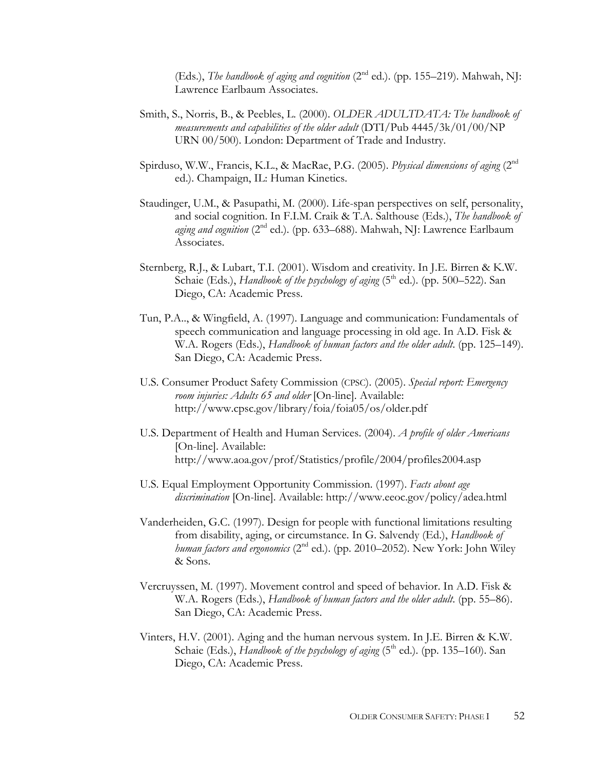(Eds.), *The handbook of aging and cognition* (2<sup>nd</sup> ed.). (pp. 155–219). Mahwah, NJ: Lawrence Earlbaum Associates.

- Smith, S., Norris, B., & Peebles, L. (2000). *OLDER ADULTDATA: The handbook of measurements and capabilities of the older adult* (DTI/Pub 4445/3k/01/00/NP URN 00/500). London: Department of Trade and Industry.
- Spirduso, W.W., Francis, K.L., & MacRae, P.G. (2005). *Physical dimensions of aging* (2nd ed.). Champaign, IL: Human Kinetics.
- Staudinger, U.M., & Pasupathi, M. (2000). Life-span perspectives on self, personality, and social cognition. In F.I.M. Craik & T.A. Salthouse (Eds.), *The handbook of aging and cognition* (2<sup>nd</sup> ed.). (pp. 633–688). Mahwah, NJ: Lawrence Earlbaum Associates.
- Sternberg, R.J., & Lubart, T.I. (2001). Wisdom and creativity. In J.E. Birren & K.W. Schaie (Eds.), *Handbook of the psychology of aging* (5<sup>th</sup> ed.). (pp. 500–522). San Diego, CA: Academic Press.
- Tun, P.A.., & Wingfield, A. (1997). Language and communication: Fundamentals of speech communication and language processing in old age. In A.D. Fisk & W.A. Rogers (Eds.), *Handbook of human factors and the older adult*. (pp. 125–149). San Diego, CA: Academic Press.
- U.S. Consumer Product Safety Commission (CPSC). (2005). *Special report: Emergency room injuries: Adults 65 and older* [On-line]. Available: http://www.cpsc.gov/library/foia/foia05/os/older.pdf
- U.S. Department of Health and Human Services. (2004). *A profile of older Americans* [On-line]. Available: http://www.aoa.gov/prof/Statistics/profile/2004/profiles2004.asp
- U.S. Equal Employment Opportunity Commission. (1997). *Facts about age discrimination* [On-line]. Available: http://www.eeoc.gov/policy/adea.html
- Vanderheiden, G.C. (1997). Design for people with functional limitations resulting from disability, aging, or circumstance. In G. Salvendy (Ed.), *Handbook of human factors and ergonomics* (2nd ed.). (pp. 2010–2052). New York: John Wiley & Sons.
- Vercruyssen, M. (1997). Movement control and speed of behavior. In A.D. Fisk & W.A. Rogers (Eds.), *Handbook of human factors and the older adult*. (pp. 55–86). San Diego, CA: Academic Press.
- Vinters, H.V. (2001). Aging and the human nervous system. In J.E. Birren & K.W. Schaie (Eds.), *Handbook of the psychology of aging* (5<sup>th</sup> ed.). (pp. 135–160). San Diego, CA: Academic Press.